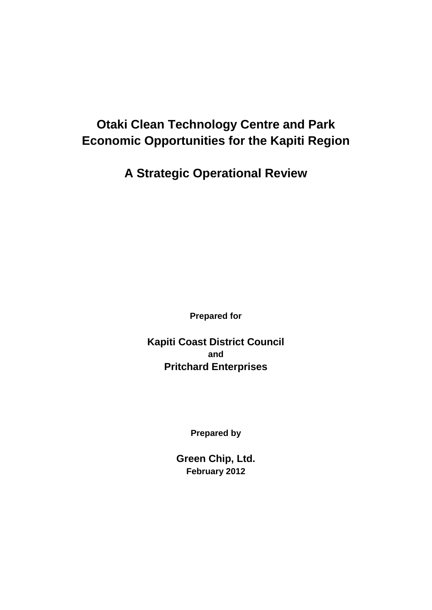# **Otaki Clean Technology Centre and Park Economic Opportunities for the Kapiti Region**

**A Strategic Operational Review**

**Prepared for**

**Kapiti Coast District Council and Pritchard Enterprises**

**Prepared by**

**Green Chip, Ltd. February 2012**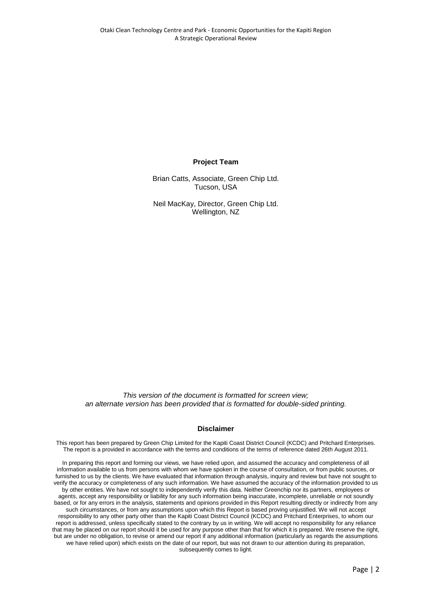#### **Project Team**

Brian Catts, Associate, Green Chip Ltd. Tucson, USA

Neil MacKay, Director, Green Chip Ltd. Wellington, NZ

*This version of the document is formatted for screen view; an alternate version has been provided that is formatted for double-sided printing.*

#### **Disclaimer**

This report has been prepared by Green Chip Limited for the Kapiti Coast District Council (KCDC) and Pritchard Enterprises. The report is a provided in accordance with the terms and conditions of the terms of reference dated 26th August 2011.

In preparing this report and forming our views, we have relied upon, and assumed the accuracy and completeness of all information available to us from persons with whom we have spoken in the course of consultation, or from public sources, or furnished to us by the clients. We have evaluated that information through analysis, inquiry and review but have not sought to verify the accuracy or completeness of any such information. We have assumed the accuracy of the information provided to us by other entities. We have not sought to independently verify this data. Neither Greenchip nor its partners, employees or agents, accept any responsibility or liability for any such information being inaccurate, incomplete, unreliable or not soundly based, or for any errors in the analysis, statements and opinions provided in this Report resulting directly or indirectly from any such circumstances, or from any assumptions upon which this Report is based proving unjustified. We will not accept responsibility to any other party other than the Kapiti Coast District Council (KCDC) and Pritchard Enterprises, to whom our report is addressed, unless specifically stated to the contrary by us in writing. We will accept no responsibility for any reliance that may be placed on our report should it be used for any purpose other than that for which it is prepared. We reserve the right, but are under no obligation, to revise or amend our report if any additional information (particularly as regards the assumptions we have relied upon) which exists on the date of our report, but was not drawn to our attention during its preparation, subsequently comes to light.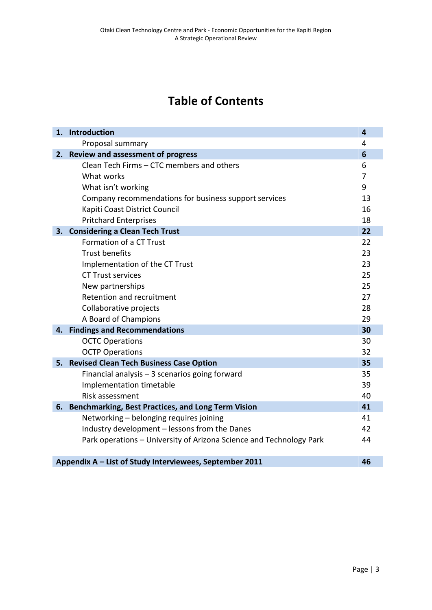# **Table of Contents**

|                                                               | 1. Introduction                                                     | 4              |  |
|---------------------------------------------------------------|---------------------------------------------------------------------|----------------|--|
|                                                               | Proposal summary                                                    | 4              |  |
|                                                               | 2. Review and assessment of progress                                | 6              |  |
|                                                               | Clean Tech Firms - CTC members and others                           | 6              |  |
|                                                               | What works                                                          | $\overline{7}$ |  |
|                                                               | What isn't working                                                  | 9              |  |
|                                                               | Company recommendations for business support services               | 13             |  |
|                                                               | Kapiti Coast District Council                                       | 16             |  |
|                                                               | <b>Pritchard Enterprises</b>                                        | 18             |  |
|                                                               | 3. Considering a Clean Tech Trust                                   | 22             |  |
|                                                               | Formation of a CT Trust                                             | 22             |  |
|                                                               | <b>Trust benefits</b>                                               | 23             |  |
|                                                               | Implementation of the CT Trust                                      | 23             |  |
|                                                               | <b>CT Trust services</b>                                            | 25             |  |
|                                                               | New partnerships                                                    | 25             |  |
|                                                               | Retention and recruitment                                           | 27             |  |
|                                                               | Collaborative projects                                              | 28             |  |
|                                                               | A Board of Champions                                                | 29             |  |
| 4.                                                            | <b>Findings and Recommendations</b>                                 | 30             |  |
|                                                               | <b>OCTC Operations</b>                                              | 30             |  |
|                                                               | <b>OCTP Operations</b>                                              | 32             |  |
|                                                               | 5. Revised Clean Tech Business Case Option                          | 35             |  |
|                                                               | Financial analysis - 3 scenarios going forward                      | 35             |  |
|                                                               | Implementation timetable                                            | 39             |  |
|                                                               | Risk assessment                                                     | 40             |  |
| 6.                                                            | <b>Benchmarking, Best Practices, and Long Term Vision</b>           | 41             |  |
|                                                               | Networking - belonging requires joining                             | 41             |  |
|                                                               | Industry development - lessons from the Danes                       | 42             |  |
|                                                               | Park operations - University of Arizona Science and Technology Park | 44             |  |
|                                                               |                                                                     |                |  |
| Appendix A - List of Study Interviewees, September 2011<br>46 |                                                                     |                |  |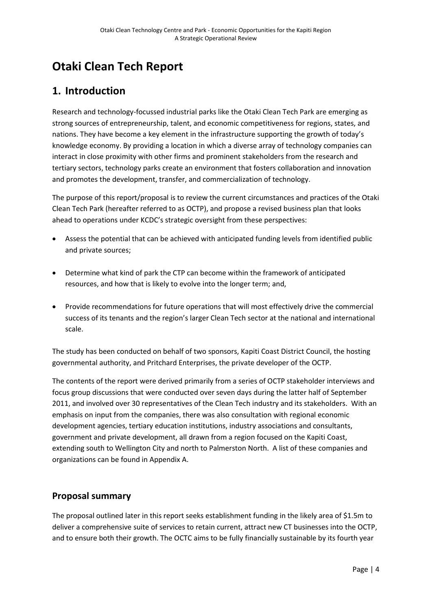# **Otaki Clean Tech Report**

## **1. Introduction**

Research and technology-focussed industrial parks like the Otaki Clean Tech Park are emerging as strong sources of entrepreneurship, talent, and economic competitiveness for regions, states, and nations. They have become a key element in the infrastructure supporting the growth of today's knowledge economy. By providing a location in which a diverse array of technology companies can interact in close proximity with other firms and prominent stakeholders from the research and tertiary sectors, technology parks create an environment that fosters collaboration and innovation and promotes the development, transfer, and commercialization of technology.

The purpose of this report/proposal is to review the current circumstances and practices of the Otaki Clean Tech Park (hereafter referred to as OCTP), and propose a revised business plan that looks ahead to operations under KCDC's strategic oversight from these perspectives:

- Assess the potential that can be achieved with anticipated funding levels from identified public and private sources;
- Determine what kind of park the CTP can become within the framework of anticipated resources, and how that is likely to evolve into the longer term; and,
- Provide recommendations for future operations that will most effectively drive the commercial success of its tenants and the region's larger Clean Tech sector at the national and international scale.

The study has been conducted on behalf of two sponsors, Kapiti Coast District Council, the hosting governmental authority, and Pritchard Enterprises, the private developer of the OCTP.

The contents of the report were derived primarily from a series of OCTP stakeholder interviews and focus group discussions that were conducted over seven days during the latter half of September 2011, and involved over 30 representatives of the Clean Tech industry and its stakeholders. With an emphasis on input from the companies, there was also consultation with regional economic development agencies, tertiary education institutions, industry associations and consultants, government and private development, all drawn from a region focused on the Kapiti Coast, extending south to Wellington City and north to Palmerston North. A list of these companies and organizations can be found in Appendix A.

## **Proposal summary**

The proposal outlined later in this report seeks establishment funding in the likely area of \$1.5m to deliver a comprehensive suite of services to retain current, attract new CT businesses into the OCTP, and to ensure both their growth. The OCTC aims to be fully financially sustainable by its fourth year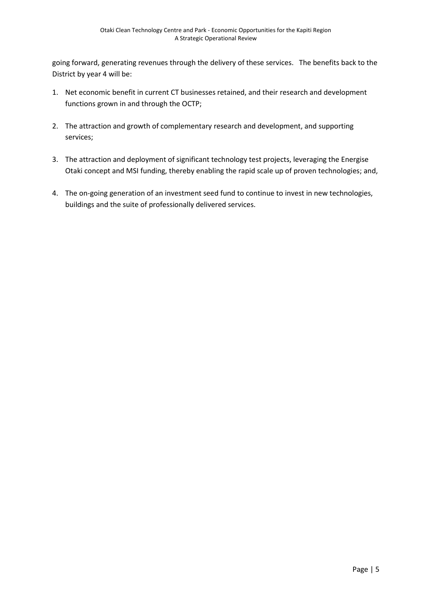going forward, generating revenues through the delivery of these services. The benefits back to the District by year 4 will be:

- 1. Net economic benefit in current CT businesses retained, and their research and development functions grown in and through the OCTP;
- 2. The attraction and growth of complementary research and development, and supporting services;
- 3. The attraction and deployment of significant technology test projects, leveraging the Energise Otaki concept and MSI funding, thereby enabling the rapid scale up of proven technologies; and,
- 4. The on-going generation of an investment seed fund to continue to invest in new technologies, buildings and the suite of professionally delivered services.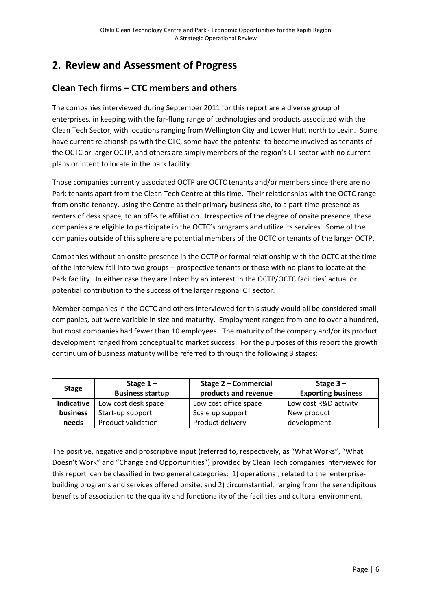## **2. Review and Assessment of Progress**

## **Clean Tech firms – CTC members and others**

The companies interviewed during September 2011 for this report are a diverse group of enterprises, in keeping with the far-flung range of technologies and products associated with the Clean Tech Sector, with locations ranging from Wellington City and Lower Hutt north to Levin. Some have current relationships with the CTC, some have the potential to become involved as tenants of the OCTC or larger OCTP, and others are simply members of the region's CT sector with no current plans or intent to locate in the park facility.

Those companies currently associated OCTP are OCTC tenants and/or members since there are no Park tenants apart from the Clean Tech Centre at this time. Their relationships with the OCTC range from onsite tenancy, using the Centre as their primary business site, to a part-time presence as renters of desk space, to an off-site affiliation. Irrespective of the degree of onsite presence, these companies are eligible to participate in the OCTC's programs and utilize its services. Some of the companies outside of this sphere are potential members of the OCTC or tenants of the larger OCTP.

Companies without an onsite presence in the OCTP or formal relationship with the OCTC at the time of the interview fall into two groups – prospective tenants or those with no plans to locate at the Park facility. In either case they are linked by an interest in the OCTP/OCTC facilities' actual or potential contribution to the success of the larger regional CT sector.

Member companies in the OCTC and others interviewed for this study would all be considered small companies, but were variable in size and maturity. Employment ranged from one to over a hundred, but most companies had fewer than 10 employees. The maturity of the company and/or its product development ranged from conceptual to market success. For the purposes of this report the growth continuum of business maturity will be referred to through the following 3 stages:

| <b>Stage</b> | Stage $1-$<br><b>Business startup</b> | Stage 2 - Commercial<br>products and revenue | Stage $3-$<br><b>Exporting business</b> |
|--------------|---------------------------------------|----------------------------------------------|-----------------------------------------|
| Indicative   | Low cost desk space                   | Low cost office space                        | Low cost R&D activity                   |
| business     | Start-up support                      | Scale up support                             | New product                             |
| needs        | Product validation                    | Product delivery                             | development                             |

The positive, negative and proscriptive input (referred to, respectively, as "What Works", "What Doesn't Work" and "Change and Opportunities") provided by Clean Tech companies interviewed for this report can be classified in two general categories: 1) operational, related to the enterprisebuilding programs and services offered onsite, and 2) circumstantial, ranging from the serendipitous benefits of association to the quality and functionality of the facilities and cultural environment.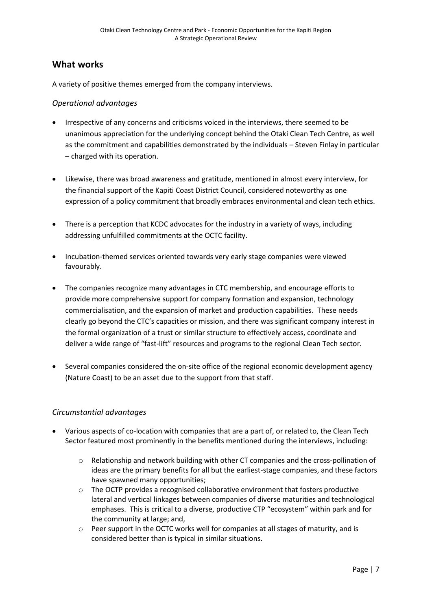#### **What works**

A variety of positive themes emerged from the company interviews.

#### *Operational advantages*

- Irrespective of any concerns and criticisms voiced in the interviews, there seemed to be unanimous appreciation for the underlying concept behind the Otaki Clean Tech Centre, as well as the commitment and capabilities demonstrated by the individuals – Steven Finlay in particular – charged with its operation.
- Likewise, there was broad awareness and gratitude, mentioned in almost every interview, for the financial support of the Kapiti Coast District Council, considered noteworthy as one expression of a policy commitment that broadly embraces environmental and clean tech ethics.
- There is a perception that KCDC advocates for the industry in a variety of ways, including addressing unfulfilled commitments at the OCTC facility.
- Incubation-themed services oriented towards very early stage companies were viewed favourably.
- The companies recognize many advantages in CTC membership, and encourage efforts to provide more comprehensive support for company formation and expansion, technology commercialisation, and the expansion of market and production capabilities. These needs clearly go beyond the CTC's capacities or mission, and there was significant company interest in the formal organization of a trust or similar structure to effectively access, coordinate and deliver a wide range of "fast-lift" resources and programs to the regional Clean Tech sector.
- Several companies considered the on-site office of the regional economic development agency (Nature Coast) to be an asset due to the support from that staff.

#### *Circumstantial advantages*

- Various aspects of co-location with companies that are a part of, or related to, the Clean Tech Sector featured most prominently in the benefits mentioned during the interviews, including:
	- o Relationship and network building with other CT companies and the cross-pollination of ideas are the primary benefits for all but the earliest-stage companies, and these factors have spawned many opportunities;
	- $\circ$  The OCTP provides a recognised collaborative environment that fosters productive lateral and vertical linkages between companies of diverse maturities and technological emphases. This is critical to a diverse, productive CTP "ecosystem" within park and for the community at large; and,
	- o Peer support in the OCTC works well for companies at all stages of maturity, and is considered better than is typical in similar situations.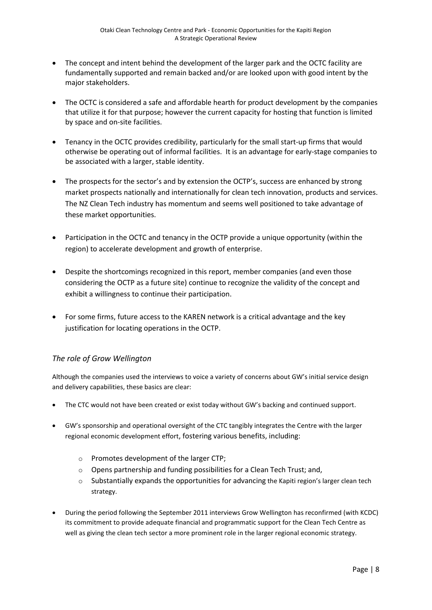- The concept and intent behind the development of the larger park and the OCTC facility are fundamentally supported and remain backed and/or are looked upon with good intent by the major stakeholders.
- The OCTC is considered a safe and affordable hearth for product development by the companies that utilize it for that purpose; however the current capacity for hosting that function is limited by space and on-site facilities.
- Tenancy in the OCTC provides credibility, particularly for the small start-up firms that would otherwise be operating out of informal facilities. It is an advantage for early-stage companies to be associated with a larger, stable identity.
- The prospects for the sector's and by extension the OCTP's, success are enhanced by strong market prospects nationally and internationally for clean tech innovation, products and services. The NZ Clean Tech industry has momentum and seems well positioned to take advantage of these market opportunities.
- Participation in the OCTC and tenancy in the OCTP provide a unique opportunity (within the region) to accelerate development and growth of enterprise.
- Despite the shortcomings recognized in this report, member companies (and even those considering the OCTP as a future site) continue to recognize the validity of the concept and exhibit a willingness to continue their participation.
- For some firms, future access to the KAREN network is a critical advantage and the key justification for locating operations in the OCTP.

#### *The role of Grow Wellington*

Although the companies used the interviews to voice a variety of concerns about GW's initial service design and delivery capabilities, these basics are clear:

- The CTC would not have been created or exist today without GW's backing and continued support.
- GW's sponsorship and operational oversight of the CTC tangibly integrates the Centre with the larger regional economic development effort, fostering various benefits, including:
	- o Promotes development of the larger CTP;
	- o Opens partnership and funding possibilities for a Clean Tech Trust; and,
	- $\circ$  Substantially expands the opportunities for advancing the Kapiti region's larger clean tech strategy.
- During the period following the September 2011 interviews Grow Wellington has reconfirmed (with KCDC) its commitment to provide adequate financial and programmatic support for the Clean Tech Centre as well as giving the clean tech sector a more prominent role in the larger regional economic strategy.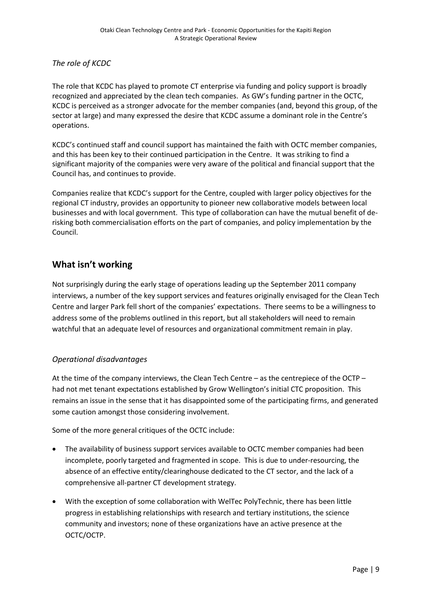*The role of KCDC*

The role that KCDC has played to promote CT enterprise via funding and policy support is broadly recognized and appreciated by the clean tech companies. As GW's funding partner in the OCTC, KCDC is perceived as a stronger advocate for the member companies (and, beyond this group, of the sector at large) and many expressed the desire that KCDC assume a dominant role in the Centre's operations.

KCDC's continued staff and council support has maintained the faith with OCTC member companies, and this has been key to their continued participation in the Centre. It was striking to find a significant majority of the companies were very aware of the political and financial support that the Council has, and continues to provide.

Companies realize that KCDC's support for the Centre, coupled with larger policy objectives for the regional CT industry, provides an opportunity to pioneer new collaborative models between local businesses and with local government. This type of collaboration can have the mutual benefit of derisking both commercialisation efforts on the part of companies, and policy implementation by the Council.

### **What isn't working**

Not surprisingly during the early stage of operations leading up the September 2011 company interviews, a number of the key support services and features originally envisaged for the Clean Tech Centre and larger Park fell short of the companies' expectations. There seems to be a willingness to address some of the problems outlined in this report, but all stakeholders will need to remain watchful that an adequate level of resources and organizational commitment remain in play.

#### *Operational disadvantages*

At the time of the company interviews, the Clean Tech Centre – as the centrepiece of the OCTP – had not met tenant expectations established by Grow Wellington's initial CTC proposition. This remains an issue in the sense that it has disappointed some of the participating firms, and generated some caution amongst those considering involvement.

Some of the more general critiques of the OCTC include:

- The availability of business support services available to OCTC member companies had been incomplete, poorly targeted and fragmented in scope. This is due to under-resourcing, the absence of an effective entity/clearinghouse dedicated to the CT sector, and the lack of a comprehensive all-partner CT development strategy.
- With the exception of some collaboration with WelTec PolyTechnic, there has been little progress in establishing relationships with research and tertiary institutions, the science community and investors; none of these organizations have an active presence at the OCTC/OCTP.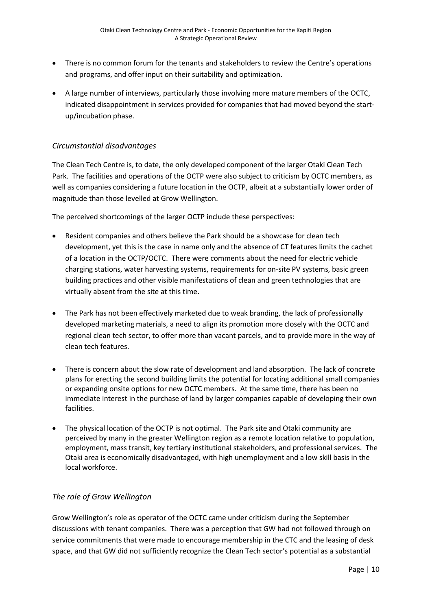- There is no common forum for the tenants and stakeholders to review the Centre's operations and programs, and offer input on their suitability and optimization.
- A large number of interviews, particularly those involving more mature members of the OCTC, indicated disappointment in services provided for companies that had moved beyond the startup/incubation phase.

#### *Circumstantial disadvantages*

The Clean Tech Centre is, to date, the only developed component of the larger Otaki Clean Tech Park. The facilities and operations of the OCTP were also subject to criticism by OCTC members, as well as companies considering a future location in the OCTP, albeit at a substantially lower order of magnitude than those levelled at Grow Wellington.

The perceived shortcomings of the larger OCTP include these perspectives:

- Resident companies and others believe the Park should be a showcase for clean tech development, yet this is the case in name only and the absence of CT features limits the cachet of a location in the OCTP/OCTC. There were comments about the need for electric vehicle charging stations, water harvesting systems, requirements for on-site PV systems, basic green building practices and other visible manifestations of clean and green technologies that are virtually absent from the site at this time.
- The Park has not been effectively marketed due to weak branding, the lack of professionally developed marketing materials, a need to align its promotion more closely with the OCTC and regional clean tech sector, to offer more than vacant parcels, and to provide more in the way of clean tech features.
- There is concern about the slow rate of development and land absorption. The lack of concrete plans for erecting the second building limits the potential for locating additional small companies or expanding onsite options for new OCTC members. At the same time, there has been no immediate interest in the purchase of land by larger companies capable of developing their own facilities.
- The physical location of the OCTP is not optimal. The Park site and Otaki community are perceived by many in the greater Wellington region as a remote location relative to population, employment, mass transit, key tertiary institutional stakeholders, and professional services. The Otaki area is economically disadvantaged, with high unemployment and a low skill basis in the local workforce.

#### *The role of Grow Wellington*

Grow Wellington's role as operator of the OCTC came under criticism during the September discussions with tenant companies. There was a perception that GW had not followed through on service commitments that were made to encourage membership in the CTC and the leasing of desk space, and that GW did not sufficiently recognize the Clean Tech sector's potential as a substantial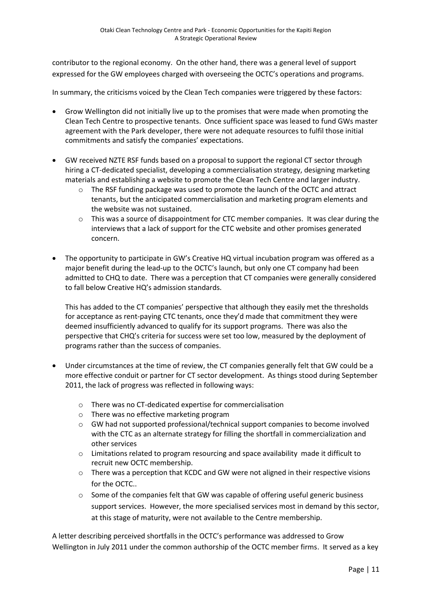contributor to the regional economy. On the other hand, there was a general level of support expressed for the GW employees charged with overseeing the OCTC's operations and programs.

In summary, the criticisms voiced by the Clean Tech companies were triggered by these factors:

- Grow Wellington did not initially live up to the promises that were made when promoting the Clean Tech Centre to prospective tenants. Once sufficient space was leased to fund GWs master agreement with the Park developer, there were not adequate resources to fulfil those initial commitments and satisfy the companies' expectations.
- GW received NZTE RSF funds based on a proposal to support the regional CT sector through hiring a CT-dedicated specialist, developing a commercialisation strategy, designing marketing materials and establishing a website to promote the Clean Tech Centre and larger industry.
	- o The RSF funding package was used to promote the launch of the OCTC and attract tenants, but the anticipated commercialisation and marketing program elements and the website was not sustained.
	- $\circ$  This was a source of disappointment for CTC member companies. It was clear during the interviews that a lack of support for the CTC website and other promises generated concern.
- The opportunity to participate in GW's Creative HQ virtual incubation program was offered as a major benefit during the lead-up to the OCTC's launch, but only one CT company had been admitted to CHQ to date. There was a perception that CT companies were generally considered to fall below Creative HQ's admission standards.

This has added to the CT companies' perspective that although they easily met the thresholds for acceptance as rent-paying CTC tenants, once they'd made that commitment they were deemed insufficiently advanced to qualify for its support programs. There was also the perspective that CHQ's criteria for success were set too low, measured by the deployment of programs rather than the success of companies.

- Under circumstances at the time of review, the CT companies generally felt that GW could be a more effective conduit or partner for CT sector development. As things stood during September 2011, the lack of progress was reflected in following ways:
	- o There was no CT-dedicated expertise for commercialisation
	- o There was no effective marketing program
	- o GW had not supported professional/technical support companies to become involved with the CTC as an alternate strategy for filling the shortfall in commercialization and other services
	- $\circ$  Limitations related to program resourcing and space availability made it difficult to recruit new OCTC membership.
	- o There was a perception that KCDC and GW were not aligned in their respective visions for the OCTC..
	- $\circ$  Some of the companies felt that GW was capable of offering useful generic business support services. However, the more specialised services most in demand by this sector, at this stage of maturity, were not available to the Centre membership.

A letter describing perceived shortfalls in the OCTC's performance was addressed to Grow Wellington in July 2011 under the common authorship of the OCTC member firms. It served as a key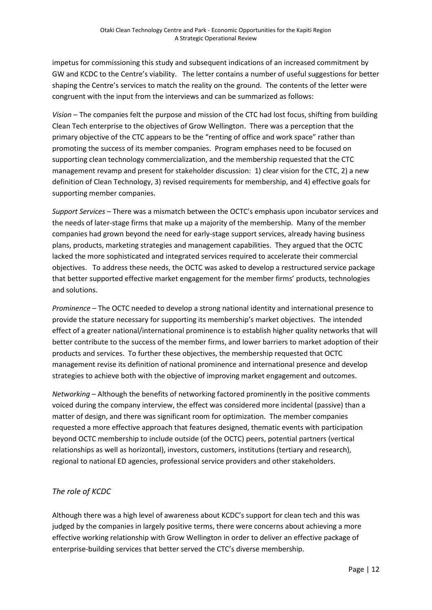impetus for commissioning this study and subsequent indications of an increased commitment by GW and KCDC to the Centre's viability. The letter contains a number of useful suggestions for better shaping the Centre's services to match the reality on the ground. The contents of the letter were congruent with the input from the interviews and can be summarized as follows:

*Vision* – The companies felt the purpose and mission of the CTC had lost focus, shifting from building Clean Tech enterprise to the objectives of Grow Wellington. There was a perception that the primary objective of the CTC appears to be the "renting of office and work space" rather than promoting the success of its member companies. Program emphases need to be focused on supporting clean technology commercialization, and the membership requested that the CTC management revamp and present for stakeholder discussion: 1) clear vision for the CTC, 2) a new definition of Clean Technology, 3) revised requirements for membership, and 4) effective goals for supporting member companies.

*Support Services* – There was a mismatch between the OCTC's emphasis upon incubator services and the needs of later-stage firms that make up a majority of the membership. Many of the member companies had grown beyond the need for early-stage support services, already having business plans, products, marketing strategies and management capabilities. They argued that the OCTC lacked the more sophisticated and integrated services required to accelerate their commercial objectives. To address these needs, the OCTC was asked to develop a restructured service package that better supported effective market engagement for the member firms' products, technologies and solutions.

*Prominence* – The OCTC needed to develop a strong national identity and international presence to provide the stature necessary for supporting its membership's market objectives. The intended effect of a greater national/international prominence is to establish higher quality networks that will better contribute to the success of the member firms, and lower barriers to market adoption of their products and services. To further these objectives, the membership requested that OCTC management revise its definition of national prominence and international presence and develop strategies to achieve both with the objective of improving market engagement and outcomes.

*Networking* – Although the benefits of networking factored prominently in the positive comments voiced during the company interview, the effect was considered more incidental (passive) than a matter of design, and there was significant room for optimization. The member companies requested a more effective approach that features designed, thematic events with participation beyond OCTC membership to include outside (of the OCTC) peers, potential partners (vertical relationships as well as horizontal), investors, customers, institutions (tertiary and research), regional to national ED agencies, professional service providers and other stakeholders.

#### *The role of KCDC*

Although there was a high level of awareness about KCDC's support for clean tech and this was judged by the companies in largely positive terms, there were concerns about achieving a more effective working relationship with Grow Wellington in order to deliver an effective package of enterprise-building services that better served the CTC's diverse membership.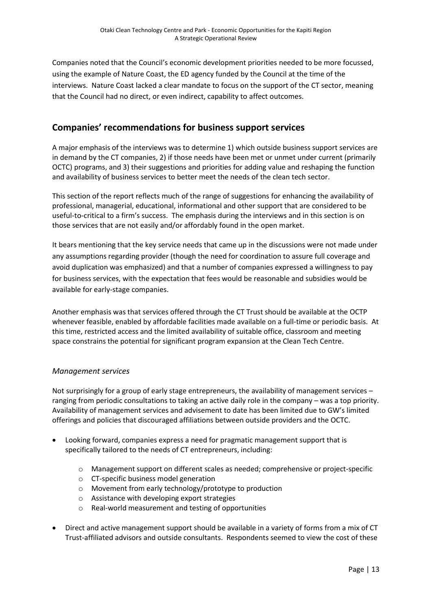Companies noted that the Council's economic development priorities needed to be more focussed, using the example of Nature Coast, the ED agency funded by the Council at the time of the interviews. Nature Coast lacked a clear mandate to focus on the support of the CT sector, meaning that the Council had no direct, or even indirect, capability to affect outcomes.

### **Companies' recommendations for business support services**

A major emphasis of the interviews was to determine 1) which outside business support services are in demand by the CT companies, 2) if those needs have been met or unmet under current (primarily OCTC) programs, and 3) their suggestions and priorities for adding value and reshaping the function and availability of business services to better meet the needs of the clean tech sector.

This section of the report reflects much of the range of suggestions for enhancing the availability of professional, managerial, educational, informational and other support that are considered to be useful-to-critical to a firm's success. The emphasis during the interviews and in this section is on those services that are not easily and/or affordably found in the open market.

It bears mentioning that the key service needs that came up in the discussions were not made under any assumptions regarding provider (though the need for coordination to assure full coverage and avoid duplication was emphasized) and that a number of companies expressed a willingness to pay for business services, with the expectation that fees would be reasonable and subsidies would be available for early-stage companies.

Another emphasis was that services offered through the CT Trust should be available at the OCTP whenever feasible, enabled by affordable facilities made available on a full-time or periodic basis. At this time, restricted access and the limited availability of suitable office, classroom and meeting space constrains the potential for significant program expansion at the Clean Tech Centre.

#### *Management services*

Not surprisingly for a group of early stage entrepreneurs, the availability of management services – ranging from periodic consultations to taking an active daily role in the company – was a top priority. Availability of management services and advisement to date has been limited due to GW's limited offerings and policies that discouraged affiliations between outside providers and the OCTC.

- Looking forward, companies express a need for pragmatic management support that is specifically tailored to the needs of CT entrepreneurs, including:
	- o Management support on different scales as needed; comprehensive or project-specific
	- o CT-specific business model generation
	- o Movement from early technology/prototype to production
	- o Assistance with developing export strategies
	- o Real-world measurement and testing of opportunities
- Direct and active management support should be available in a variety of forms from a mix of CT Trust-affiliated advisors and outside consultants. Respondents seemed to view the cost of these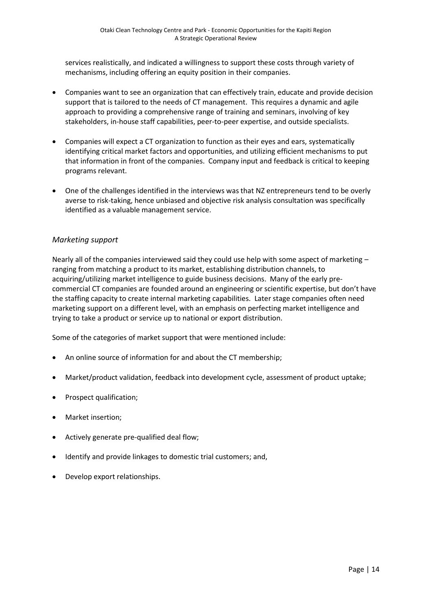services realistically, and indicated a willingness to support these costs through variety of mechanisms, including offering an equity position in their companies.

- Companies want to see an organization that can effectively train, educate and provide decision support that is tailored to the needs of CT management. This requires a dynamic and agile approach to providing a comprehensive range of training and seminars, involving of key stakeholders, in-house staff capabilities, peer-to-peer expertise, and outside specialists.
- Companies will expect a CT organization to function as their eyes and ears, systematically identifying critical market factors and opportunities, and utilizing efficient mechanisms to put that information in front of the companies. Company input and feedback is critical to keeping programs relevant.
- One of the challenges identified in the interviews was that NZ entrepreneurs tend to be overly averse to risk-taking, hence unbiased and objective risk analysis consultation was specifically identified as a valuable management service.

#### *Marketing support*

Nearly all of the companies interviewed said they could use help with some aspect of marketing – ranging from matching a product to its market, establishing distribution channels, to acquiring/utilizing market intelligence to guide business decisions. Many of the early precommercial CT companies are founded around an engineering or scientific expertise, but don't have the staffing capacity to create internal marketing capabilities. Later stage companies often need marketing support on a different level, with an emphasis on perfecting market intelligence and trying to take a product or service up to national or export distribution.

Some of the categories of market support that were mentioned include:

- An online source of information for and about the CT membership;
- Market/product validation, feedback into development cycle, assessment of product uptake;
- Prospect qualification;
- Market insertion;
- Actively generate pre-qualified deal flow;
- Identify and provide linkages to domestic trial customers; and,
- Develop export relationships.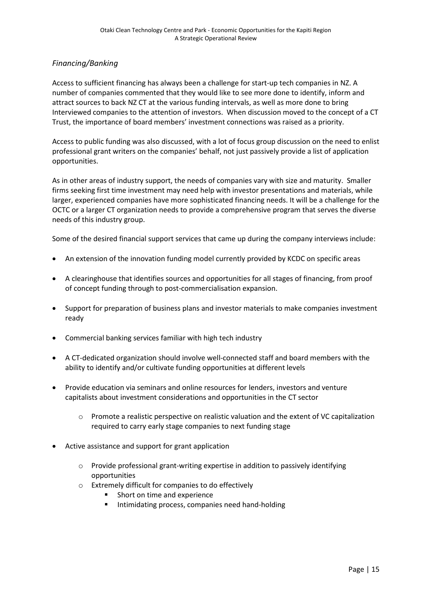#### *Financing/Banking*

Access to sufficient financing has always been a challenge for start-up tech companies in NZ. A number of companies commented that they would like to see more done to identify, inform and attract sources to back NZ CT at the various funding intervals, as well as more done to bring Interviewed companies to the attention of investors. When discussion moved to the concept of a CT Trust, the importance of board members' investment connections was raised as a priority.

Access to public funding was also discussed, with a lot of focus group discussion on the need to enlist professional grant writers on the companies' behalf, not just passively provide a list of application opportunities.

As in other areas of industry support, the needs of companies vary with size and maturity. Smaller firms seeking first time investment may need help with investor presentations and materials, while larger, experienced companies have more sophisticated financing needs. It will be a challenge for the OCTC or a larger CT organization needs to provide a comprehensive program that serves the diverse needs of this industry group.

Some of the desired financial support services that came up during the company interviews include:

- An extension of the innovation funding model currently provided by KCDC on specific areas
- A clearinghouse that identifies sources and opportunities for all stages of financing, from proof of concept funding through to post-commercialisation expansion.
- Support for preparation of business plans and investor materials to make companies investment ready
- Commercial banking services familiar with high tech industry
- A CT-dedicated organization should involve well-connected staff and board members with the ability to identify and/or cultivate funding opportunities at different levels
- Provide education via seminars and online resources for lenders, investors and venture capitalists about investment considerations and opportunities in the CT sector
	- o Promote a realistic perspective on realistic valuation and the extent of VC capitalization required to carry early stage companies to next funding stage
- Active assistance and support for grant application
	- o Provide professional grant-writing expertise in addition to passively identifying opportunities
	- o Extremely difficult for companies to do effectively
		- Short on time and experience
		- **Intimidating process, companies need hand-holding**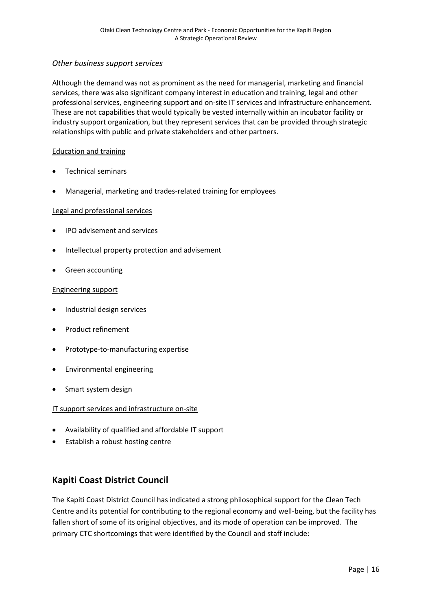#### *Other business support services*

Although the demand was not as prominent as the need for managerial, marketing and financial services, there was also significant company interest in education and training, legal and other professional services, engineering support and on-site IT services and infrastructure enhancement. These are not capabilities that would typically be vested internally within an incubator facility or industry support organization, but they represent services that can be provided through strategic relationships with public and private stakeholders and other partners.

#### Education and training

- Technical seminars
- Managerial, marketing and trades-related training for employees

#### Legal and professional services

- IPO advisement and services
- Intellectual property protection and advisement
- Green accounting

#### Engineering support

- Industrial design services
- Product refinement
- Prototype-to-manufacturing expertise
- Environmental engineering
- Smart system design

#### IT support services and infrastructure on-site

- Availability of qualified and affordable IT support
- Establish a robust hosting centre

### **Kapiti Coast District Council**

The Kapiti Coast District Council has indicated a strong philosophical support for the Clean Tech Centre and its potential for contributing to the regional economy and well-being, but the facility has fallen short of some of its original objectives, and its mode of operation can be improved. The primary CTC shortcomings that were identified by the Council and staff include: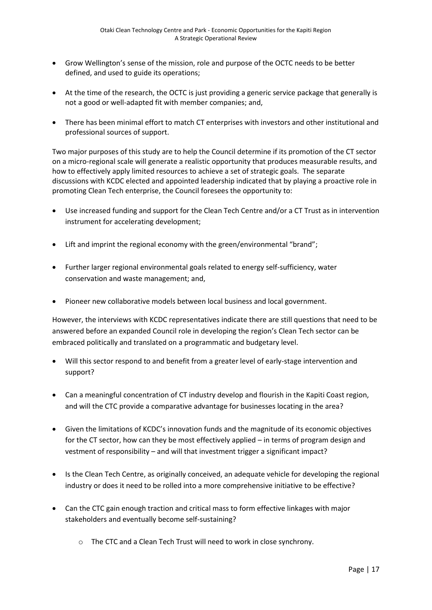- Grow Wellington's sense of the mission, role and purpose of the OCTC needs to be better defined, and used to guide its operations;
- At the time of the research, the OCTC is just providing a generic service package that generally is not a good or well-adapted fit with member companies; and,
- There has been minimal effort to match CT enterprises with investors and other institutional and professional sources of support.

Two major purposes of this study are to help the Council determine if its promotion of the CT sector on a micro-regional scale will generate a realistic opportunity that produces measurable results, and how to effectively apply limited resources to achieve a set of strategic goals. The separate discussions with KCDC elected and appointed leadership indicated that by playing a proactive role in promoting Clean Tech enterprise, the Council foresees the opportunity to:

- Use increased funding and support for the Clean Tech Centre and/or a CT Trust as in intervention instrument for accelerating development;
- Lift and imprint the regional economy with the green/environmental "brand";
- Further larger regional environmental goals related to energy self-sufficiency, water conservation and waste management; and,
- Pioneer new collaborative models between local business and local government.

However, the interviews with KCDC representatives indicate there are still questions that need to be answered before an expanded Council role in developing the region's Clean Tech sector can be embraced politically and translated on a programmatic and budgetary level.

- Will this sector respond to and benefit from a greater level of early-stage intervention and support?
- Can a meaningful concentration of CT industry develop and flourish in the Kapiti Coast region, and will the CTC provide a comparative advantage for businesses locating in the area?
- Given the limitations of KCDC's innovation funds and the magnitude of its economic objectives for the CT sector, how can they be most effectively applied – in terms of program design and vestment of responsibility – and will that investment trigger a significant impact?
- Is the Clean Tech Centre, as originally conceived, an adequate vehicle for developing the regional industry or does it need to be rolled into a more comprehensive initiative to be effective?
- Can the CTC gain enough traction and critical mass to form effective linkages with major stakeholders and eventually become self-sustaining?
	- o The CTC and a Clean Tech Trust will need to work in close synchrony.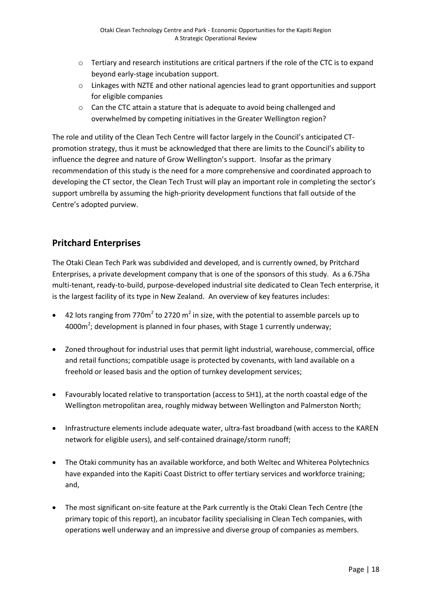- $\circ$  Tertiary and research institutions are critical partners if the role of the CTC is to expand beyond early-stage incubation support.
- o Linkages with NZTE and other national agencies lead to grant opportunities and support for eligible companies
- $\circ$  Can the CTC attain a stature that is adequate to avoid being challenged and overwhelmed by competing initiatives in the Greater Wellington region?

The role and utility of the Clean Tech Centre will factor largely in the Council's anticipated CTpromotion strategy, thus it must be acknowledged that there are limits to the Council's ability to influence the degree and nature of Grow Wellington's support. Insofar as the primary recommendation of this study is the need for a more comprehensive and coordinated approach to developing the CT sector, the Clean Tech Trust will play an important role in completing the sector's support umbrella by assuming the high-priority development functions that fall outside of the Centre's adopted purview.

## **Pritchard Enterprises**

The Otaki Clean Tech Park was subdivided and developed, and is currently owned, by Pritchard Enterprises, a private development company that is one of the sponsors of this study. As a 6.75ha multi-tenant, ready-to-build, purpose-developed industrial site dedicated to Clean Tech enterprise, it is the largest facility of its type in New Zealand. An overview of key features includes:

- 42 lots ranging from 770 $m^2$  to 2720  $m^2$  in size, with the potential to assemble parcels up to 4000 $m^2$ ; development is planned in four phases, with Stage 1 currently underway;
- Zoned throughout for industrial uses that permit light industrial, warehouse, commercial, office and retail functions; compatible usage is protected by covenants, with land available on a freehold or leased basis and the option of turnkey development services;
- Favourably located relative to transportation (access to SH1), at the north coastal edge of the Wellington metropolitan area, roughly midway between Wellington and Palmerston North;
- Infrastructure elements include adequate water, ultra-fast broadband (with access to the KAREN network for eligible users), and self-contained drainage/storm runoff;
- The Otaki community has an available workforce, and both Weltec and Whiterea Polytechnics have expanded into the Kapiti Coast District to offer tertiary services and workforce training; and,
- The most significant on-site feature at the Park currently is the Otaki Clean Tech Centre (the primary topic of this report), an incubator facility specialising in Clean Tech companies, with operations well underway and an impressive and diverse group of companies as members.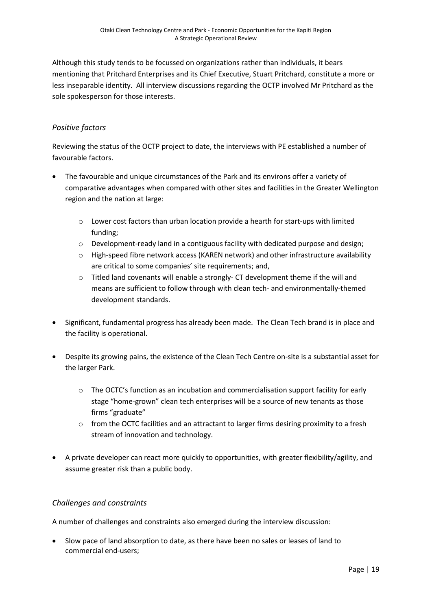Although this study tends to be focussed on organizations rather than individuals, it bears mentioning that Pritchard Enterprises and its Chief Executive, Stuart Pritchard, constitute a more or less inseparable identity. All interview discussions regarding the OCTP involved Mr Pritchard as the sole spokesperson for those interests.

#### *Positive factors*

Reviewing the status of the OCTP project to date, the interviews with PE established a number of favourable factors.

- The favourable and unique circumstances of the Park and its environs offer a variety of comparative advantages when compared with other sites and facilities in the Greater Wellington region and the nation at large:
	- $\circ$  Lower cost factors than urban location provide a hearth for start-ups with limited funding;
	- $\circ$  Development-ready land in a contiguous facility with dedicated purpose and design;
	- o High-speed fibre network access (KAREN network) and other infrastructure availability are critical to some companies' site requirements; and,
	- $\circ$  Titled land covenants will enable a strongly-CT development theme if the will and means are sufficient to follow through with clean tech- and environmentally-themed development standards.
- Significant, fundamental progress has already been made. The Clean Tech brand is in place and the facility is operational.
- Despite its growing pains, the existence of the Clean Tech Centre on-site is a substantial asset for the larger Park.
	- $\circ$  The OCTC's function as an incubation and commercialisation support facility for early stage "home-grown" clean tech enterprises will be a source of new tenants as those firms "graduate"
	- o from the OCTC facilities and an attractant to larger firms desiring proximity to a fresh stream of innovation and technology.
- A private developer can react more quickly to opportunities, with greater flexibility/agility, and assume greater risk than a public body.

#### *Challenges and constraints*

A number of challenges and constraints also emerged during the interview discussion:

 Slow pace of land absorption to date, as there have been no sales or leases of land to commercial end-users;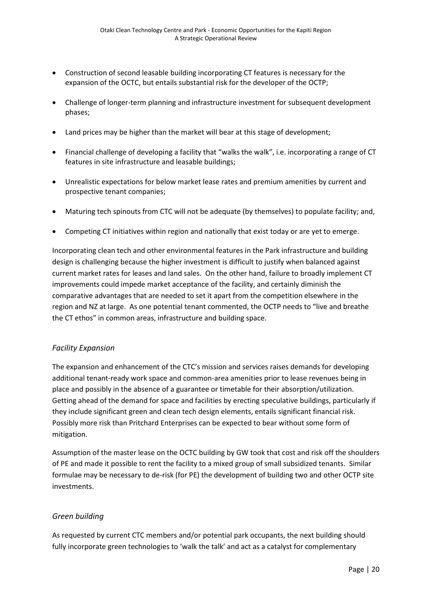- Construction of second leasable building incorporating CT features is necessary for the expansion of the OCTC, but entails substantial risk for the developer of the OCTP;
- Challenge of longer-term planning and infrastructure investment for subsequent development phases;
- Land prices may be higher than the market will bear at this stage of development;
- Financial challenge of developing a facility that "walks the walk", i.e. incorporating a range of CT features in site infrastructure and leasable buildings;
- Unrealistic expectations for below market lease rates and premium amenities by current and prospective tenant companies;
- Maturing tech spinouts from CTC will not be adequate (by themselves) to populate facility; and,
- Competing CT initiatives within region and nationally that exist today or are yet to emerge.

Incorporating clean tech and other environmental features in the Park infrastructure and building design is challenging because the higher investment is difficult to justify when balanced against current market rates for leases and land sales. On the other hand, failure to broadly implement CT improvements could impede market acceptance of the facility, and certainly diminish the comparative advantages that are needed to set it apart from the competition elsewhere in the region and NZ at large. As one potential tenant commented, the OCTP needs to "live and breathe the CT ethos" in common areas, infrastructure and building space.

#### *Facility Expansion*

The expansion and enhancement of the CTC's mission and services raises demands for developing additional tenant-ready work space and common-area amenities prior to lease revenues being in place and possibly in the absence of a guarantee or timetable for their absorption/utilization. Getting ahead of the demand for space and facilities by erecting speculative buildings, particularly if they include significant green and clean tech design elements, entails significant financial risk. Possibly more risk than Pritchard Enterprises can be expected to bear without some form of mitigation.

Assumption of the master lease on the OCTC building by GW took that cost and risk off the shoulders of PE and made it possible to rent the facility to a mixed group of small subsidized tenants. Similar formulae may be necessary to de-risk (for PE) the development of building two and other OCTP site investments.

#### *Green building*

As requested by current CTC members and/or potential park occupants, the next building should fully incorporate green technologies to 'walk the talk' and act as a catalyst for complementary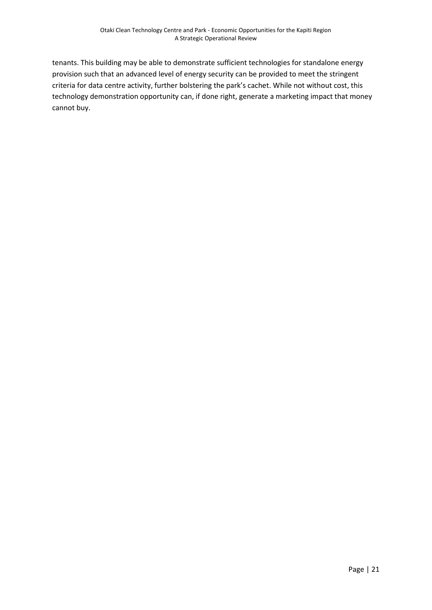tenants. This building may be able to demonstrate sufficient technologies for standalone energy provision such that an advanced level of energy security can be provided to meet the stringent criteria for data centre activity, further bolstering the park's cachet. While not without cost, this technology demonstration opportunity can, if done right, generate a marketing impact that money cannot buy.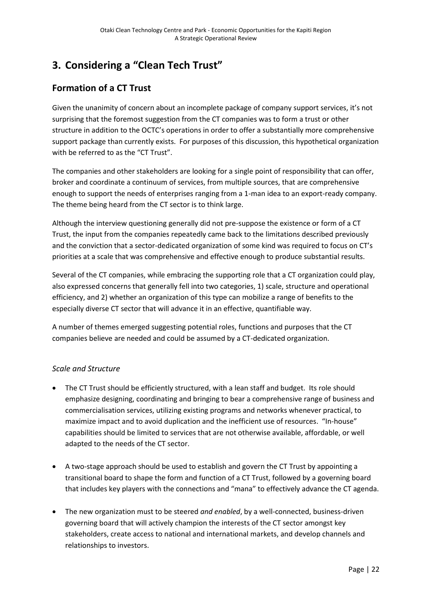## **3. Considering a "Clean Tech Trust"**

## **Formation of a CT Trust**

Given the unanimity of concern about an incomplete package of company support services, it's not surprising that the foremost suggestion from the CT companies was to form a trust or other structure in addition to the OCTC's operations in order to offer a substantially more comprehensive support package than currently exists. For purposes of this discussion, this hypothetical organization with be referred to as the "CT Trust".

The companies and other stakeholders are looking for a single point of responsibility that can offer, broker and coordinate a continuum of services, from multiple sources, that are comprehensive enough to support the needs of enterprises ranging from a 1-man idea to an export-ready company. The theme being heard from the CT sector is to think large.

Although the interview questioning generally did not pre-suppose the existence or form of a CT Trust, the input from the companies repeatedly came back to the limitations described previously and the conviction that a sector-dedicated organization of some kind was required to focus on CT's priorities at a scale that was comprehensive and effective enough to produce substantial results.

Several of the CT companies, while embracing the supporting role that a CT organization could play, also expressed concerns that generally fell into two categories, 1) scale, structure and operational efficiency, and 2) whether an organization of this type can mobilize a range of benefits to the especially diverse CT sector that will advance it in an effective, quantifiable way.

A number of themes emerged suggesting potential roles, functions and purposes that the CT companies believe are needed and could be assumed by a CT-dedicated organization.

#### *Scale and Structure*

- The CT Trust should be efficiently structured, with a lean staff and budget. Its role should emphasize designing, coordinating and bringing to bear a comprehensive range of business and commercialisation services, utilizing existing programs and networks whenever practical, to maximize impact and to avoid duplication and the inefficient use of resources. "In-house" capabilities should be limited to services that are not otherwise available, affordable, or well adapted to the needs of the CT sector.
- A two-stage approach should be used to establish and govern the CT Trust by appointing a transitional board to shape the form and function of a CT Trust, followed by a governing board that includes key players with the connections and "mana" to effectively advance the CT agenda.
- The new organization must to be steered *and enabled*, by a well-connected, business-driven governing board that will actively champion the interests of the CT sector amongst key stakeholders, create access to national and international markets, and develop channels and relationships to investors.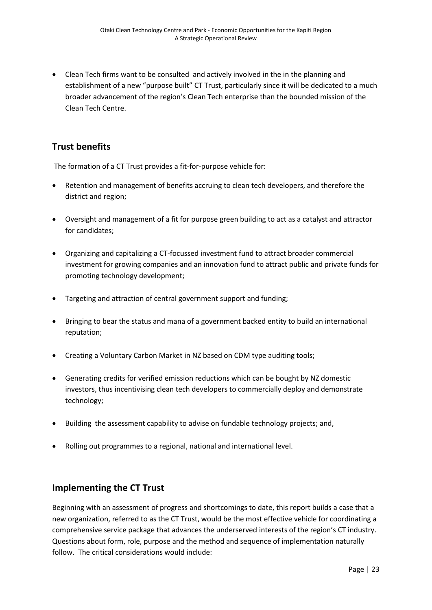Clean Tech firms want to be consulted and actively involved in the in the planning and establishment of a new "purpose built" CT Trust, particularly since it will be dedicated to a much broader advancement of the region's Clean Tech enterprise than the bounded mission of the Clean Tech Centre.

### **Trust benefits**

The formation of a CT Trust provides a fit-for-purpose vehicle for:

- Retention and management of benefits accruing to clean tech developers, and therefore the district and region;
- Oversight and management of a fit for purpose green building to act as a catalyst and attractor for candidates;
- Organizing and capitalizing a CT-focussed investment fund to attract broader commercial investment for growing companies and an innovation fund to attract public and private funds for promoting technology development;
- Targeting and attraction of central government support and funding;
- Bringing to bear the status and mana of a government backed entity to build an international reputation;
- Creating a Voluntary Carbon Market in NZ based on CDM type auditing tools;
- Generating credits for verified emission reductions which can be bought by NZ domestic investors, thus incentivising clean tech developers to commercially deploy and demonstrate technology;
- Building the assessment capability to advise on fundable technology projects; and,
- Rolling out programmes to a regional, national and international level.

#### **Implementing the CT Trust**

Beginning with an assessment of progress and shortcomings to date, this report builds a case that a new organization, referred to as the CT Trust, would be the most effective vehicle for coordinating a comprehensive service package that advances the underserved interests of the region's CT industry. Questions about form, role, purpose and the method and sequence of implementation naturally follow. The critical considerations would include: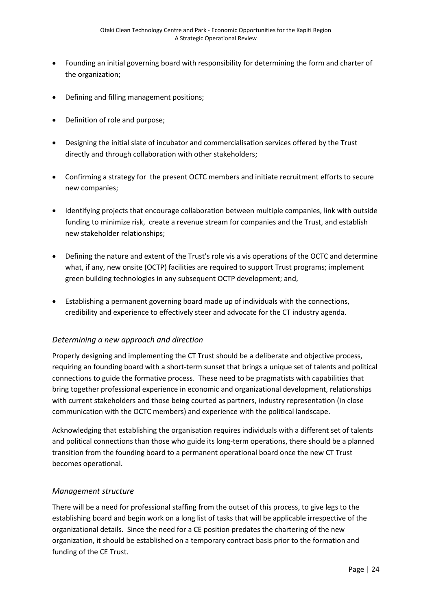- Founding an initial governing board with responsibility for determining the form and charter of the organization;
- Defining and filling management positions;
- Definition of role and purpose;
- Designing the initial slate of incubator and commercialisation services offered by the Trust directly and through collaboration with other stakeholders;
- Confirming a strategy for the present OCTC members and initiate recruitment efforts to secure new companies;
- Identifying projects that encourage collaboration between multiple companies, link with outside funding to minimize risk, create a revenue stream for companies and the Trust, and establish new stakeholder relationships;
- Defining the nature and extent of the Trust's role vis a vis operations of the OCTC and determine what, if any, new onsite (OCTP) facilities are required to support Trust programs; implement green building technologies in any subsequent OCTP development; and,
- Establishing a permanent governing board made up of individuals with the connections, credibility and experience to effectively steer and advocate for the CT industry agenda.

#### *Determining a new approach and direction*

Properly designing and implementing the CT Trust should be a deliberate and objective process, requiring an founding board with a short-term sunset that brings a unique set of talents and political connections to guide the formative process. These need to be pragmatists with capabilities that bring together professional experience in economic and organizational development, relationships with current stakeholders and those being courted as partners, industry representation (in close communication with the OCTC members) and experience with the political landscape.

Acknowledging that establishing the organisation requires individuals with a different set of talents and political connections than those who guide its long-term operations, there should be a planned transition from the founding board to a permanent operational board once the new CT Trust becomes operational.

#### *Management structure*

There will be a need for professional staffing from the outset of this process, to give legs to the establishing board and begin work on a long list of tasks that will be applicable irrespective of the organizational details. Since the need for a CE position predates the chartering of the new organization, it should be established on a temporary contract basis prior to the formation and funding of the CE Trust.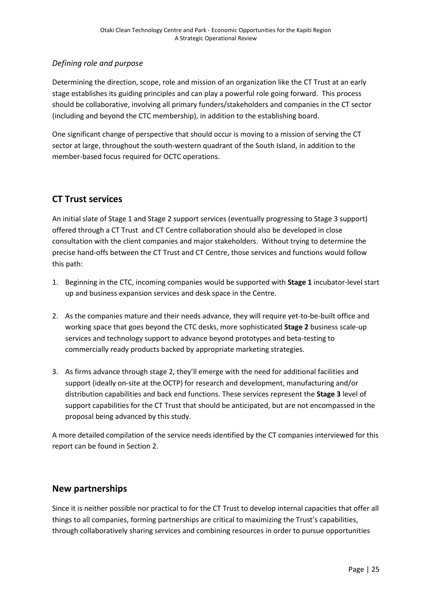#### *Defining role and purpose*

Determining the direction, scope, role and mission of an organization like the CT Trust at an early stage establishes its guiding principles and can play a powerful role going forward. This process should be collaborative, involving all primary funders/stakeholders and companies in the CT sector (including and beyond the CTC membership), in addition to the establishing board.

One significant change of perspective that should occur is moving to a mission of serving the CT sector at large, throughout the south-western quadrant of the South Island, in addition to the member-based focus required for OCTC operations.

#### **CT Trust services**

An initial slate of Stage 1 and Stage 2 support services (eventually progressing to Stage 3 support) offered through a CT Trust and CT Centre collaboration should also be developed in close consultation with the client companies and major stakeholders. Without trying to determine the precise hand-offs between the CT Trust and CT Centre, those services and functions would follow this path:

- 1. Beginning in the CTC, incoming companies would be supported with **Stage 1** incubator-level start up and business expansion services and desk space in the Centre.
- 2. As the companies mature and their needs advance, they will require yet-to-be-built office and working space that goes beyond the CTC desks, more sophisticated **Stage 2** business scale-up services and technology support to advance beyond prototypes and beta-testing to commercially ready products backed by appropriate marketing strategies.
- 3. As firms advance through stage 2, they'll emerge with the need for additional facilities and support (ideally on-site at the OCTP) for research and development, manufacturing and/or distribution capabilities and back end functions. These services represent the **Stage 3** level of support capabilities for the CT Trust that should be anticipated, but are not encompassed in the proposal being advanced by this study.

A more detailed compilation of the service needs identified by the CT companies interviewed for this report can be found in Section 2.

#### **New partnerships**

Since it is neither possible nor practical to for the CT Trust to develop internal capacities that offer all things to all companies, forming partnerships are critical to maximizing the Trust's capabilities, through collaboratively sharing services and combining resources in order to pursue opportunities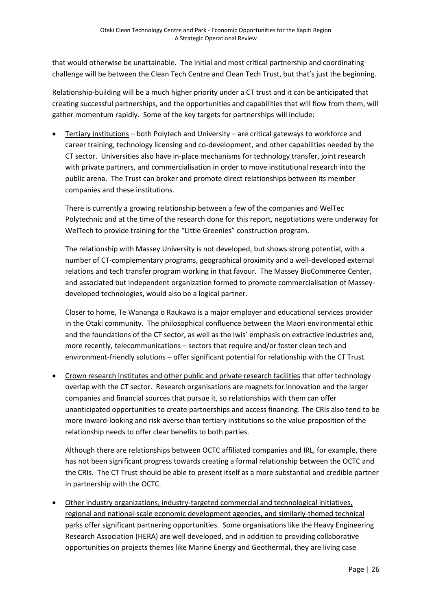that would otherwise be unattainable. The initial and most critical partnership and coordinating challenge will be between the Clean Tech Centre and Clean Tech Trust, but that's just the beginning.

Relationship-building will be a much higher priority under a CT trust and it can be anticipated that creating successful partnerships, and the opportunities and capabilities that will flow from them, will gather momentum rapidly. Some of the key targets for partnerships will include:

 Tertiary institutions – both Polytech and University – are critical gateways to workforce and career training, technology licensing and co-development, and other capabilities needed by the CT sector. Universities also have in-place mechanisms for technology transfer, joint research with private partners, and commercialisation in order to move institutional research into the public arena. The Trust can broker and promote direct relationships between its member companies and these institutions.

There is currently a growing relationship between a few of the companies and WelTec Polytechnic and at the time of the research done for this report, negotiations were underway for WelTech to provide training for the "Little Greenies" construction program.

The relationship with Massey University is not developed, but shows strong potential, with a number of CT-complementary programs, geographical proximity and a well-developed external relations and tech transfer program working in that favour. The Massey BioCommerce Center, and associated but independent organization formed to promote commercialisation of Masseydeveloped technologies, would also be a logical partner.

Closer to home, Te Wananga o Raukawa is a major employer and educational services provider in the Otaki community. The philosophical confluence between the Maori environmental ethic and the foundations of the CT sector, as well as the Iwis' emphasis on extractive industries and, more recently, telecommunications – sectors that require and/or foster clean tech and environment-friendly solutions – offer significant potential for relationship with the CT Trust.

• Crown research institutes and other public and private research facilities that offer technology overlap with the CT sector. Research organisations are magnets for innovation and the larger companies and financial sources that pursue it, so relationships with them can offer unanticipated opportunities to create partnerships and access financing. The CRIs also tend to be more inward-looking and risk-averse than tertiary institutions so the value proposition of the relationship needs to offer clear benefits to both parties.

Although there are relationships between OCTC affiliated companies and IRL, for example, there has not been significant progress towards creating a formal relationship between the OCTC and the CRIs. The CT Trust should be able to present itself as a more substantial and credible partner in partnership with the OCTC.

 Other industry organizations, industry-targeted commercial and technological initiatives, regional and national-scale economic development agencies, and similarly-themed technical parks offer significant partnering opportunities. Some organisations like the Heavy Engineering Research Association (HERA) are well developed, and in addition to providing collaborative opportunities on projects themes like Marine Energy and Geothermal, they are living case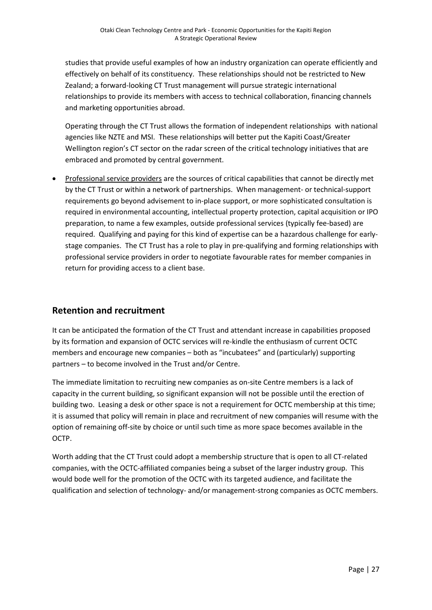studies that provide useful examples of how an industry organization can operate efficiently and effectively on behalf of its constituency. These relationships should not be restricted to New Zealand; a forward-looking CT Trust management will pursue strategic international relationships to provide its members with access to technical collaboration, financing channels and marketing opportunities abroad.

Operating through the CT Trust allows the formation of independent relationships with national agencies like NZTE and MSI. These relationships will better put the Kapiti Coast/Greater Wellington region's CT sector on the radar screen of the critical technology initiatives that are embraced and promoted by central government.

 Professional service providers are the sources of critical capabilities that cannot be directly met by the CT Trust or within a network of partnerships. When management- or technical-support requirements go beyond advisement to in-place support, or more sophisticated consultation is required in environmental accounting, intellectual property protection, capital acquisition or IPO preparation, to name a few examples, outside professional services (typically fee-based) are required. Qualifying and paying for this kind of expertise can be a hazardous challenge for earlystage companies. The CT Trust has a role to play in pre-qualifying and forming relationships with professional service providers in order to negotiate favourable rates for member companies in return for providing access to a client base.

### **Retention and recruitment**

It can be anticipated the formation of the CT Trust and attendant increase in capabilities proposed by its formation and expansion of OCTC services will re-kindle the enthusiasm of current OCTC members and encourage new companies – both as "incubatees" and (particularly) supporting partners – to become involved in the Trust and/or Centre.

The immediate limitation to recruiting new companies as on-site Centre members is a lack of capacity in the current building, so significant expansion will not be possible until the erection of building two. Leasing a desk or other space is not a requirement for OCTC membership at this time; it is assumed that policy will remain in place and recruitment of new companies will resume with the option of remaining off-site by choice or until such time as more space becomes available in the OCTP.

Worth adding that the CT Trust could adopt a membership structure that is open to all CT-related companies, with the OCTC-affiliated companies being a subset of the larger industry group. This would bode well for the promotion of the OCTC with its targeted audience, and facilitate the qualification and selection of technology- and/or management-strong companies as OCTC members.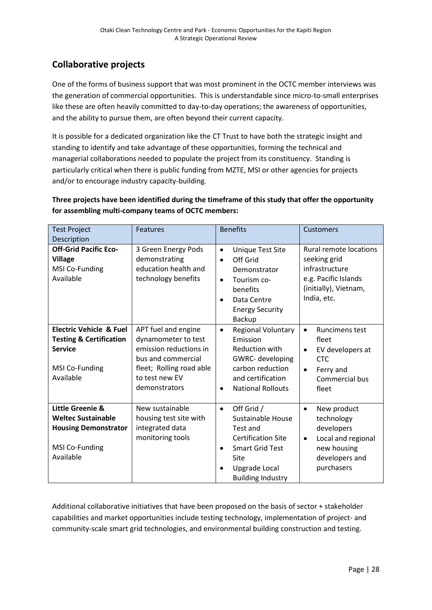## **Collaborative projects**

One of the forms of business support that was most prominent in the OCTC member interviews was the generation of commercial opportunities. This is understandable since micro-to-small enterprises like these are often heavily committed to day-to-day operations; the awareness of opportunities, and the ability to pursue them, are often beyond their current capacity.

It is possible for a dedicated organization like the CT Trust to have both the strategic insight and standing to identify and take advantage of these opportunities, forming the technical and managerial collaborations needed to populate the project from its constituency. Standing is particularly critical when there is public funding from MZTE, MSI or other agencies for projects and/or to encourage industry capacity-building.

#### **Three projects have been identified during the timeframe of this study that offer the opportunity for assembling multi-company teams of OCTC members:**

| <b>Test Project</b><br>Description                                                                                        | <b>Features</b>                                                                                                                                           | <b>Benefits</b>                                                                                                                                                                          | <b>Customers</b>                                                                                                                                |
|---------------------------------------------------------------------------------------------------------------------------|-----------------------------------------------------------------------------------------------------------------------------------------------------------|------------------------------------------------------------------------------------------------------------------------------------------------------------------------------------------|-------------------------------------------------------------------------------------------------------------------------------------------------|
| <b>Off-Grid Pacific Eco-</b><br><b>Village</b><br>MSI Co-Funding<br>Available                                             | 3 Green Energy Pods<br>demonstrating<br>education health and<br>technology benefits                                                                       | <b>Unique Test Site</b><br>$\bullet$<br>Off Grid<br>$\bullet$<br>Demonstrator<br>Tourism co-<br>$\bullet$<br>benefits<br>Data Centre<br>٠<br><b>Energy Security</b><br><b>Backup</b>     | <b>Rural remote locations</b><br>seeking grid<br>infrastructure<br>e.g. Pacific Islands<br>(initially), Vietnam,<br>India, etc.                 |
| <b>Electric Vehicle &amp; Fuel</b><br><b>Testing &amp; Certification</b><br><b>Service</b><br>MSI Co-Funding<br>Available | APT fuel and engine<br>dynamometer to test<br>emission reductions in<br>bus and commercial<br>fleet; Rolling road able<br>to test new EV<br>demonstrators | <b>Regional Voluntary</b><br>$\bullet$<br>Emission<br><b>Reduction with</b><br>GWRC- developing<br>carbon reduction<br>and certification<br><b>National Rollouts</b><br>$\bullet$        | <b>Runcimens test</b><br>$\bullet$<br>fleet<br>EV developers at<br>$\bullet$<br><b>CTC</b><br>Ferry and<br>$\bullet$<br>Commercial bus<br>fleet |
| Little Greenie &<br><b>Weltec Sustainable</b><br><b>Housing Demonstrator</b><br>MSI Co-Funding<br>Available               | New sustainable<br>housing test site with<br>integrated data<br>monitoring tools                                                                          | Off Grid /<br>$\bullet$<br>Sustainable House<br>Test and<br><b>Certification Site</b><br><b>Smart Grid Test</b><br>$\bullet$<br>Site<br><b>Upgrade Local</b><br><b>Building Industry</b> | New product<br>$\bullet$<br>technology<br>developers<br>Local and regional<br>$\bullet$<br>new housing<br>developers and<br>purchasers          |

Additional collaborative initiatives that have been proposed on the basis of sector + stakeholder capabilities and market opportunities include testing technology, implementation of project- and community-scale smart grid technologies, and environmental building construction and testing.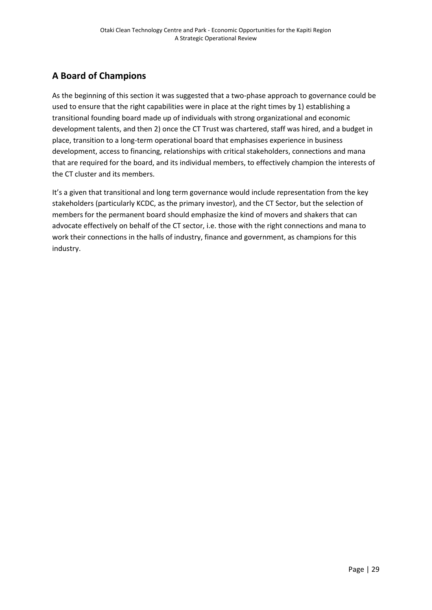## **A Board of Champions**

As the beginning of this section it was suggested that a two-phase approach to governance could be used to ensure that the right capabilities were in place at the right times by 1) establishing a transitional founding board made up of individuals with strong organizational and economic development talents, and then 2) once the CT Trust was chartered, staff was hired, and a budget in place, transition to a long-term operational board that emphasises experience in business development, access to financing, relationships with critical stakeholders, connections and mana that are required for the board, and its individual members, to effectively champion the interests of the CT cluster and its members.

It's a given that transitional and long term governance would include representation from the key stakeholders (particularly KCDC, as the primary investor), and the CT Sector, but the selection of members for the permanent board should emphasize the kind of movers and shakers that can advocate effectively on behalf of the CT sector, i.e. those with the right connections and mana to work their connections in the halls of industry, finance and government, as champions for this industry.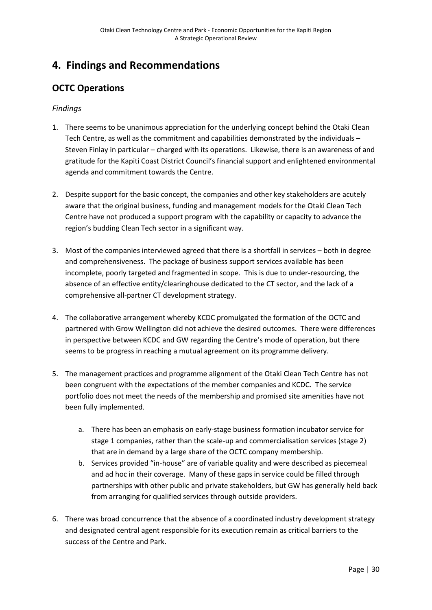## **4. Findings and Recommendations**

## **OCTC Operations**

#### *Findings*

- 1. There seems to be unanimous appreciation for the underlying concept behind the Otaki Clean Tech Centre, as well as the commitment and capabilities demonstrated by the individuals – Steven Finlay in particular – charged with its operations. Likewise, there is an awareness of and gratitude for the Kapiti Coast District Council's financial support and enlightened environmental agenda and commitment towards the Centre.
- 2. Despite support for the basic concept, the companies and other key stakeholders are acutely aware that the original business, funding and management models for the Otaki Clean Tech Centre have not produced a support program with the capability or capacity to advance the region's budding Clean Tech sector in a significant way.
- 3. Most of the companies interviewed agreed that there is a shortfall in services both in degree and comprehensiveness. The package of business support services available has been incomplete, poorly targeted and fragmented in scope. This is due to under-resourcing, the absence of an effective entity/clearinghouse dedicated to the CT sector, and the lack of a comprehensive all-partner CT development strategy.
- 4. The collaborative arrangement whereby KCDC promulgated the formation of the OCTC and partnered with Grow Wellington did not achieve the desired outcomes. There were differences in perspective between KCDC and GW regarding the Centre's mode of operation, but there seems to be progress in reaching a mutual agreement on its programme delivery.
- 5. The management practices and programme alignment of the Otaki Clean Tech Centre has not been congruent with the expectations of the member companies and KCDC. The service portfolio does not meet the needs of the membership and promised site amenities have not been fully implemented.
	- a. There has been an emphasis on early-stage business formation incubator service for stage 1 companies, rather than the scale-up and commercialisation services (stage 2) that are in demand by a large share of the OCTC company membership.
	- b. Services provided "in-house" are of variable quality and were described as piecemeal and ad hoc in their coverage. Many of these gaps in service could be filled through partnerships with other public and private stakeholders, but GW has generally held back from arranging for qualified services through outside providers.
- 6. There was broad concurrence that the absence of a coordinated industry development strategy and designated central agent responsible for its execution remain as critical barriers to the success of the Centre and Park.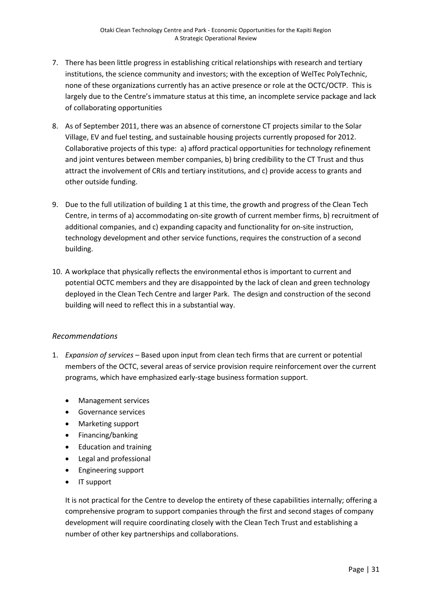- 7. There has been little progress in establishing critical relationships with research and tertiary institutions, the science community and investors; with the exception of WelTec PolyTechnic, none of these organizations currently has an active presence or role at the OCTC/OCTP. This is largely due to the Centre's immature status at this time, an incomplete service package and lack of collaborating opportunities
- 8. As of September 2011, there was an absence of cornerstone CT projects similar to the Solar Village, EV and fuel testing, and sustainable housing projects currently proposed for 2012. Collaborative projects of this type: a) afford practical opportunities for technology refinement and joint ventures between member companies, b) bring credibility to the CT Trust and thus attract the involvement of CRIs and tertiary institutions, and c) provide access to grants and other outside funding.
- 9. Due to the full utilization of building 1 at this time, the growth and progress of the Clean Tech Centre, in terms of a) accommodating on-site growth of current member firms, b) recruitment of additional companies, and c) expanding capacity and functionality for on-site instruction, technology development and other service functions, requires the construction of a second building.
- 10. A workplace that physically reflects the environmental ethos is important to current and potential OCTC members and they are disappointed by the lack of clean and green technology deployed in the Clean Tech Centre and larger Park. The design and construction of the second building will need to reflect this in a substantial way.

#### *Recommendations*

- 1. *Expansion of services*  Based upon input from clean tech firms that are current or potential members of the OCTC, several areas of service provision require reinforcement over the current programs, which have emphasized early-stage business formation support.
	- Management services
	- **•** Governance services
	- Marketing support
	- Financing/banking
	- Education and training
	- Legal and professional
	- Engineering support
	- IT support

It is not practical for the Centre to develop the entirety of these capabilities internally; offering a comprehensive program to support companies through the first and second stages of company development will require coordinating closely with the Clean Tech Trust and establishing a number of other key partnerships and collaborations.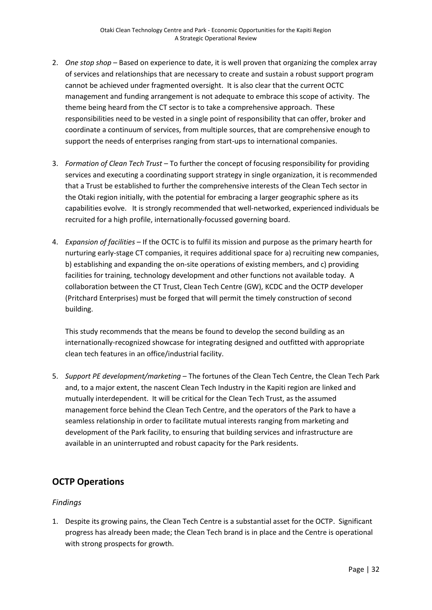- 2. *One stop shop* Based on experience to date, it is well proven that organizing the complex array of services and relationships that are necessary to create and sustain a robust support program cannot be achieved under fragmented oversight. It is also clear that the current OCTC management and funding arrangement is not adequate to embrace this scope of activity. The theme being heard from the CT sector is to take a comprehensive approach. These responsibilities need to be vested in a single point of responsibility that can offer, broker and coordinate a continuum of services, from multiple sources, that are comprehensive enough to support the needs of enterprises ranging from start-ups to international companies.
- 3. *Formation of Clean Tech Trust* To further the concept of focusing responsibility for providing services and executing a coordinating support strategy in single organization, it is recommended that a Trust be established to further the comprehensive interests of the Clean Tech sector in the Otaki region initially, with the potential for embracing a larger geographic sphere as its capabilities evolve. It is strongly recommended that well-networked, experienced individuals be recruited for a high profile, internationally-focussed governing board.
- 4. *Expansion of facilities* If the OCTC is to fulfil its mission and purpose as the primary hearth for nurturing early-stage CT companies, it requires additional space for a) recruiting new companies, b) establishing and expanding the on-site operations of existing members, and c) providing facilities for training, technology development and other functions not available today. A collaboration between the CT Trust, Clean Tech Centre (GW), KCDC and the OCTP developer (Pritchard Enterprises) must be forged that will permit the timely construction of second building.

This study recommends that the means be found to develop the second building as an internationally-recognized showcase for integrating designed and outfitted with appropriate clean tech features in an office/industrial facility.

5. *Support PE development/marketing* – The fortunes of the Clean Tech Centre, the Clean Tech Park and, to a major extent, the nascent Clean Tech Industry in the Kapiti region are linked and mutually interdependent. It will be critical for the Clean Tech Trust, as the assumed management force behind the Clean Tech Centre, and the operators of the Park to have a seamless relationship in order to facilitate mutual interests ranging from marketing and development of the Park facility, to ensuring that building services and infrastructure are available in an uninterrupted and robust capacity for the Park residents.

## **OCTP Operations**

#### *Findings*

1. Despite its growing pains, the Clean Tech Centre is a substantial asset for the OCTP. Significant progress has already been made; the Clean Tech brand is in place and the Centre is operational with strong prospects for growth.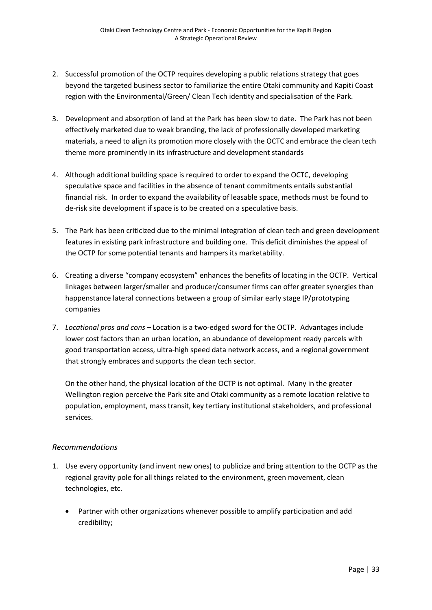- 2. Successful promotion of the OCTP requires developing a public relations strategy that goes beyond the targeted business sector to familiarize the entire Otaki community and Kapiti Coast region with the Environmental/Green/ Clean Tech identity and specialisation of the Park.
- 3. Development and absorption of land at the Park has been slow to date. The Park has not been effectively marketed due to weak branding, the lack of professionally developed marketing materials, a need to align its promotion more closely with the OCTC and embrace the clean tech theme more prominently in its infrastructure and development standards
- 4. Although additional building space is required to order to expand the OCTC, developing speculative space and facilities in the absence of tenant commitments entails substantial financial risk. In order to expand the availability of leasable space, methods must be found to de-risk site development if space is to be created on a speculative basis.
- 5. The Park has been criticized due to the minimal integration of clean tech and green development features in existing park infrastructure and building one. This deficit diminishes the appeal of the OCTP for some potential tenants and hampers its marketability.
- 6. Creating a diverse "company ecosystem" enhances the benefits of locating in the OCTP. Vertical linkages between larger/smaller and producer/consumer firms can offer greater synergies than happenstance lateral connections between a group of similar early stage IP/prototyping companies
- 7. *Locational pros and cons* Location is a two-edged sword for the OCTP. Advantages include lower cost factors than an urban location, an abundance of development ready parcels with good transportation access, ultra-high speed data network access, and a regional government that strongly embraces and supports the clean tech sector.

On the other hand, the physical location of the OCTP is not optimal. Many in the greater Wellington region perceive the Park site and Otaki community as a remote location relative to population, employment, mass transit, key tertiary institutional stakeholders, and professional services.

#### *Recommendations*

- 1. Use every opportunity (and invent new ones) to publicize and bring attention to the OCTP as the regional gravity pole for all things related to the environment, green movement, clean technologies, etc.
	- Partner with other organizations whenever possible to amplify participation and add credibility;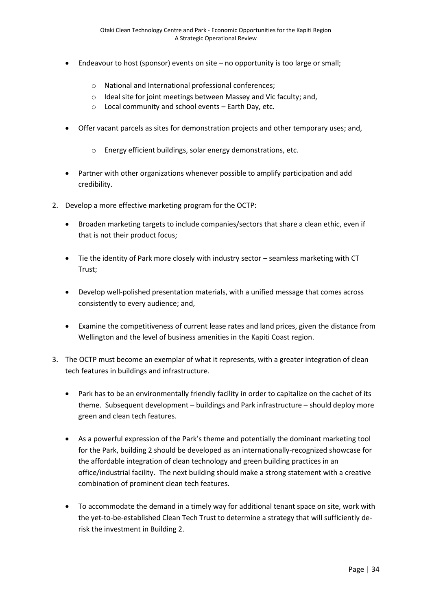- Endeavour to host (sponsor) events on site no opportunity is too large or small;
	- o National and International professional conferences;
	- o Ideal site for joint meetings between Massey and Vic faculty; and,
	- o Local community and school events Earth Day, etc.
- Offer vacant parcels as sites for demonstration projects and other temporary uses; and,
	- o Energy efficient buildings, solar energy demonstrations, etc.
- Partner with other organizations whenever possible to amplify participation and add credibility.
- 2. Develop a more effective marketing program for the OCTP:
	- Broaden marketing targets to include companies/sectors that share a clean ethic, even if that is not their product focus;
	- Tie the identity of Park more closely with industry sector seamless marketing with CT Trust;
	- Develop well-polished presentation materials, with a unified message that comes across consistently to every audience; and,
	- Examine the competitiveness of current lease rates and land prices, given the distance from Wellington and the level of business amenities in the Kapiti Coast region.
- 3. The OCTP must become an exemplar of what it represents, with a greater integration of clean tech features in buildings and infrastructure.
	- Park has to be an environmentally friendly facility in order to capitalize on the cachet of its theme. Subsequent development – buildings and Park infrastructure – should deploy more green and clean tech features.
	- As a powerful expression of the Park's theme and potentially the dominant marketing tool for the Park, building 2 should be developed as an internationally-recognized showcase for the affordable integration of clean technology and green building practices in an office/industrial facility. The next building should make a strong statement with a creative combination of prominent clean tech features.
	- To accommodate the demand in a timely way for additional tenant space on site, work with the yet-to-be-established Clean Tech Trust to determine a strategy that will sufficiently derisk the investment in Building 2.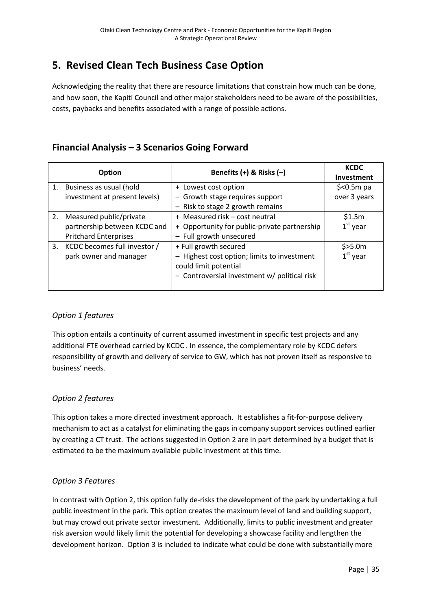## **5. Revised Clean Tech Business Case Option**

Acknowledging the reality that there are resource limitations that constrain how much can be done, and how soon, the Kapiti Council and other major stakeholders need to be aware of the possibilities, costs, paybacks and benefits associated with a range of possible actions.

## **Financial Analysis – 3 Scenarios Going Forward**

| Option |                                 | Benefits $(+)$ & Risks $(-)$                 | <b>KCDC</b><br>Investment |
|--------|---------------------------------|----------------------------------------------|---------------------------|
|        | 1. Business as usual (hold      | + Lowest cost option                         | $$<$ 0.5 $m$ pa           |
|        | investment at present levels)   | - Growth stage requires support              | over 3 years              |
|        |                                 | - Risk to stage 2 growth remains             |                           |
|        | 2. Measured public/private      | + Measured risk - cost neutral               | \$1.5m                    |
|        | partnership between KCDC and    | + Opportunity for public-private partnership | $1st$ year                |
|        | <b>Pritchard Enterprises</b>    | - Full growth unsecured                      |                           |
|        | 3. KCDC becomes full investor / | + Full growth secured                        | \$>5.0m                   |
|        | park owner and manager          | - Highest cost option; limits to investment  | $1st$ year                |
|        |                                 | could limit potential                        |                           |
|        |                                 | - Controversial investment w/ political risk |                           |
|        |                                 |                                              |                           |

#### *Option 1 features*

This option entails a continuity of current assumed investment in specific test projects and any additional FTE overhead carried by KCDC . In essence, the complementary role by KCDC defers responsibility of growth and delivery of service to GW, which has not proven itself as responsive to business' needs.

#### *Option 2 features*

This option takes a more directed investment approach. It establishes a fit-for-purpose delivery mechanism to act as a catalyst for eliminating the gaps in company support services outlined earlier by creating a CT trust. The actions suggested in Option 2 are in part determined by a budget that is estimated to be the maximum available public investment at this time.

#### *Option 3 Features*

In contrast with Option 2, this option fully de-risks the development of the park by undertaking a full public investment in the park. This option creates the maximum level of land and building support, but may crowd out private sector investment. Additionally, limits to public investment and greater risk aversion would likely limit the potential for developing a showcase facility and lengthen the development horizon. Option 3 is included to indicate what could be done with substantially more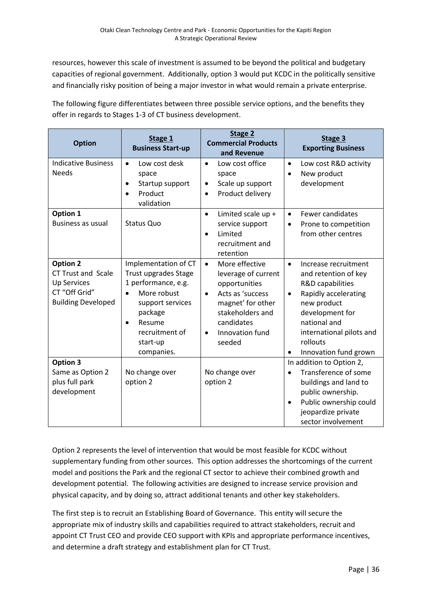resources, however this scale of investment is assumed to be beyond the political and budgetary capacities of regional government. Additionally, option 3 would put KCDC in the politically sensitive and financially risky position of being a major investor in what would remain a private enterprise.

The following figure differentiates between three possible service options, and the benefits they offer in regards to Stages 1-3 of CT business development.

| <b>Option</b>                                                                                                    | Stage 1<br><b>Business Start-up</b>                                                                                                                                                  | Stage 2<br><b>Commercial Products</b><br>and Revenue                                                                                                                                                  | Stage 3<br><b>Exporting Business</b>                                                                                                                                                                                                  |
|------------------------------------------------------------------------------------------------------------------|--------------------------------------------------------------------------------------------------------------------------------------------------------------------------------------|-------------------------------------------------------------------------------------------------------------------------------------------------------------------------------------------------------|---------------------------------------------------------------------------------------------------------------------------------------------------------------------------------------------------------------------------------------|
| <b>Indicative Business</b><br><b>Needs</b>                                                                       | Low cost desk<br>$\bullet$<br>space<br>Startup support<br>Product<br>$\bullet$<br>validation                                                                                         | Low cost office<br>$\bullet$<br>space<br>Scale up support<br>٠<br>Product delivery<br>$\bullet$                                                                                                       | Low cost R&D activity<br>$\bullet$<br>New product<br>$\bullet$<br>development                                                                                                                                                         |
| Option 1<br><b>Business as usual</b>                                                                             | <b>Status Quo</b>                                                                                                                                                                    | Limited scale up +<br>$\bullet$<br>service support<br>Limited<br>$\bullet$<br>recruitment and<br>retention                                                                                            | Fewer candidates<br>$\bullet$<br>Prone to competition<br>$\bullet$<br>from other centres                                                                                                                                              |
| <b>Option 2</b><br><b>CT Trust and Scale</b><br><b>Up Services</b><br>CT "Off Grid"<br><b>Building Developed</b> | Implementation of CT<br>Trust upgrades Stage<br>1 performance, e.g.<br>More robust<br>support services<br>package<br>Resume<br>$\bullet$<br>recruitment of<br>start-up<br>companies. | More effective<br>$\bullet$<br>leverage of current<br>opportunities<br>Acts as 'success<br>$\bullet$<br>magnet' for other<br>stakeholders and<br>candidates<br>Innovation fund<br>$\bullet$<br>seeded | Increase recruitment<br>$\bullet$<br>and retention of key<br>R&D capabilities<br>Rapidly accelerating<br>$\bullet$<br>new product<br>development for<br>national and<br>international pilots and<br>rollouts<br>Innovation fund grown |
| <b>Option 3</b><br>Same as Option 2<br>plus full park<br>development                                             | No change over<br>option 2                                                                                                                                                           | No change over<br>option 2                                                                                                                                                                            | In addition to Option 2,<br>Transference of some<br>$\bullet$<br>buildings and land to<br>public ownership.<br>Public ownership could<br>$\bullet$<br>jeopardize private<br>sector involvement                                        |

Option 2 represents the level of intervention that would be most feasible for KCDC without supplementary funding from other sources. This option addresses the shortcomings of the current model and positions the Park and the regional CT sector to achieve their combined growth and development potential. The following activities are designed to increase service provision and physical capacity, and by doing so, attract additional tenants and other key stakeholders.

The first step is to recruit an Establishing Board of Governance. This entity will secure the appropriate mix of industry skills and capabilities required to attract stakeholders, recruit and appoint CT Trust CEO and provide CEO support with KPIs and appropriate performance incentives, and determine a draft strategy and establishment plan for CT Trust.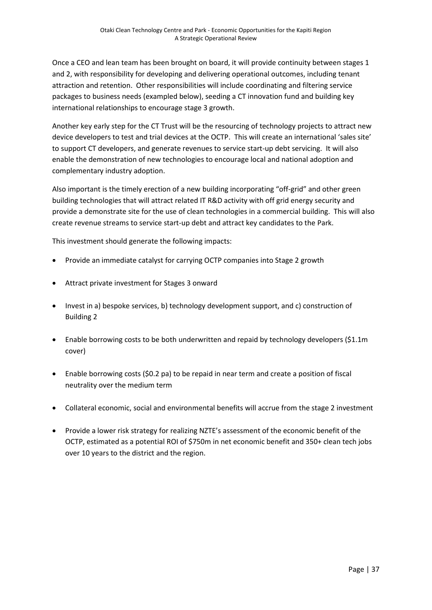Once a CEO and lean team has been brought on board, it will provide continuity between stages 1 and 2, with responsibility for developing and delivering operational outcomes, including tenant attraction and retention. Other responsibilities will include coordinating and filtering service packages to business needs (exampled below), seeding a CT innovation fund and building key international relationships to encourage stage 3 growth.

Another key early step for the CT Trust will be the resourcing of technology projects to attract new device developers to test and trial devices at the OCTP. This will create an international 'sales site' to support CT developers, and generate revenues to service start-up debt servicing. It will also enable the demonstration of new technologies to encourage local and national adoption and complementary industry adoption.

Also important is the timely erection of a new building incorporating "off-grid" and other green building technologies that will attract related IT R&D activity with off grid energy security and provide a demonstrate site for the use of clean technologies in a commercial building. This will also create revenue streams to service start-up debt and attract key candidates to the Park.

This investment should generate the following impacts:

- Provide an immediate catalyst for carrying OCTP companies into Stage 2 growth
- Attract private investment for Stages 3 onward
- Invest in a) bespoke services, b) technology development support, and c) construction of Building 2
- Enable borrowing costs to be both underwritten and repaid by technology developers (\$1.1m cover)
- Enable borrowing costs (\$0.2 pa) to be repaid in near term and create a position of fiscal neutrality over the medium term
- Collateral economic, social and environmental benefits will accrue from the stage 2 investment
- Provide a lower risk strategy for realizing NZTE's assessment of the economic benefit of the OCTP, estimated as a potential ROI of \$750m in net economic benefit and 350+ clean tech jobs over 10 years to the district and the region.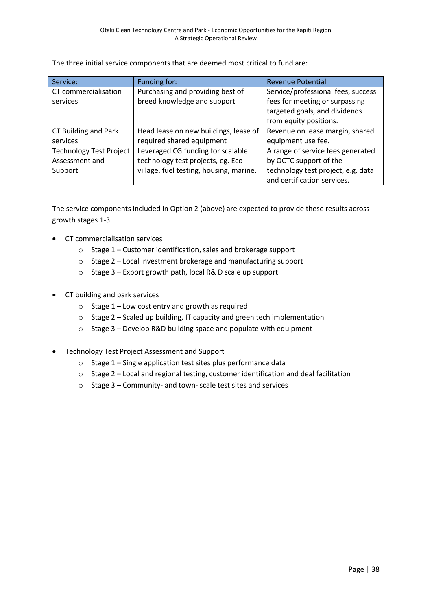| Service:                       | Funding for:                            | <b>Revenue Potential</b>           |
|--------------------------------|-----------------------------------------|------------------------------------|
| CT commercialisation           | Purchasing and providing best of        | Service/professional fees, success |
| services                       | breed knowledge and support             | fees for meeting or surpassing     |
|                                |                                         | targeted goals, and dividends      |
|                                |                                         | from equity positions.             |
| CT Building and Park           | Head lease on new buildings, lease of   | Revenue on lease margin, shared    |
| services                       | required shared equipment               | equipment use fee.                 |
| <b>Technology Test Project</b> | Leveraged CG funding for scalable       | A range of service fees generated  |
| Assessment and                 | technology test projects, eg. Eco       | by OCTC support of the             |
| Support                        | village, fuel testing, housing, marine. | technology test project, e.g. data |
|                                |                                         | and certification services.        |

The three initial service components that are deemed most critical to fund are:

The service components included in Option 2 (above) are expected to provide these results across growth stages 1-3.

- **•** CT commercialisation services
	- o Stage 1 Customer identification, sales and brokerage support
	- o Stage 2 Local investment brokerage and manufacturing support
	- o Stage 3 Export growth path, local R& D scale up support
- CT building and park services
	- o Stage 1 Low cost entry and growth as required
	- o Stage 2 Scaled up building, IT capacity and green tech implementation
	- o Stage 3 Develop R&D building space and populate with equipment
- Technology Test Project Assessment and Support
	- $\circ$  Stage 1 Single application test sites plus performance data
	- o Stage 2 Local and regional testing, customer identification and deal facilitation
	- o Stage 3 Community- and town- scale test sites and services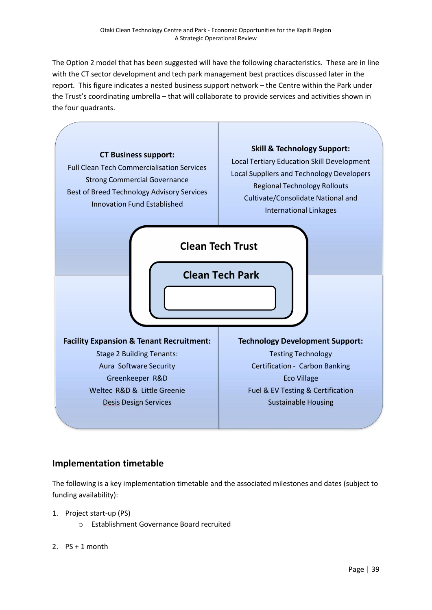The Option 2 model that has been suggested will have the following characteristics. These are in line with the CT sector development and tech park management best practices discussed later in the report. This figure indicates a nested business support network – the Centre within the Park under the Trust's coordinating umbrella – that will collaborate to provide services and activities shown in the four quadrants.



### **Implementation timetable**

The following is a key implementation timetable and the associated milestones and dates (subject to funding availability):

- 1. Project start-up (PS)
	- o Establishment Governance Board recruited
- 2.  $PS + 1$  month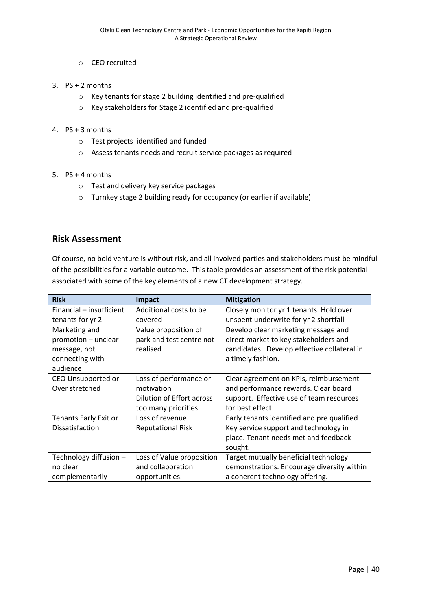- o CEO recruited
- 3. PS + 2 months
	- o Key tenants for stage 2 building identified and pre-qualified
	- o Key stakeholders for Stage 2 identified and pre-qualified
- 4. PS + 3 months
	- o Test projects identified and funded
	- o Assess tenants needs and recruit service packages as required
- 5. PS + 4 months
	- o Test and delivery key service packages
	- o Turnkey stage 2 building ready for occupancy (or earlier if available)

#### **Risk Assessment**

Of course, no bold venture is without risk, and all involved parties and stakeholders must be mindful of the possibilities for a variable outcome. This table provides an assessment of the risk potential associated with some of the key elements of a new CT development strategy.

| <b>Risk</b>              | Impact                    | <b>Mitigation</b>                           |
|--------------------------|---------------------------|---------------------------------------------|
| Financial – insufficient | Additional costs to be    | Closely monitor yr 1 tenants. Hold over     |
| tenants for yr 2         | covered                   | unspent underwrite for yr 2 shortfall       |
| Marketing and            | Value proposition of      | Develop clear marketing message and         |
| promotion - unclear      | park and test centre not  | direct market to key stakeholders and       |
| message, not             | realised                  | candidates. Develop effective collateral in |
| connecting with          |                           | a timely fashion.                           |
| audience                 |                           |                                             |
| CEO Unsupported or       | Loss of performance or    | Clear agreement on KPIs, reimbursement      |
| Over stretched           | motivation                | and performance rewards. Clear board        |
|                          | Dilution of Effort across | support. Effective use of team resources    |
|                          | too many priorities       | for best effect                             |
| Tenants Early Exit or    | Loss of revenue           | Early tenants identified and pre qualified  |
| Dissatisfaction          | <b>Reputational Risk</b>  | Key service support and technology in       |
|                          |                           | place. Tenant needs met and feedback        |
|                          |                           | sought.                                     |
| Technology diffusion -   | Loss of Value proposition | Target mutually beneficial technology       |
| no clear                 | and collaboration         | demonstrations. Encourage diversity within  |
| complementarily          | opportunities.            | a coherent technology offering.             |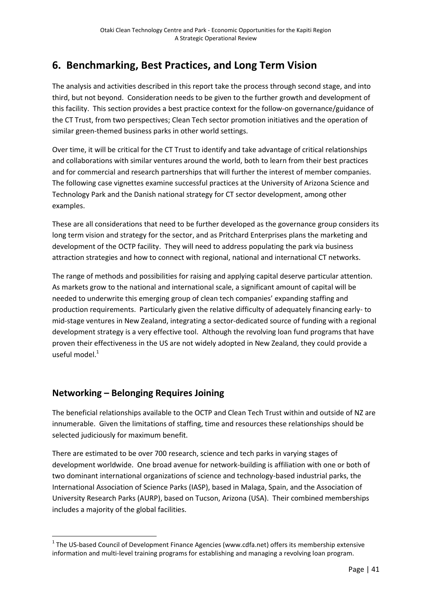## **6. Benchmarking, Best Practices, and Long Term Vision**

The analysis and activities described in this report take the process through second stage, and into third, but not beyond. Consideration needs to be given to the further growth and development of this facility. This section provides a best practice context for the follow-on governance/guidance of the CT Trust, from two perspectives; Clean Tech sector promotion initiatives and the operation of similar green-themed business parks in other world settings.

Over time, it will be critical for the CT Trust to identify and take advantage of critical relationships and collaborations with similar ventures around the world, both to learn from their best practices and for commercial and research partnerships that will further the interest of member companies. The following case vignettes examine successful practices at the University of Arizona Science and Technology Park and the Danish national strategy for CT sector development, among other examples.

These are all considerations that need to be further developed as the governance group considers its long term vision and strategy for the sector, and as Pritchard Enterprises plans the marketing and development of the OCTP facility. They will need to address populating the park via business attraction strategies and how to connect with regional, national and international CT networks.

The range of methods and possibilities for raising and applying capital deserve particular attention. As markets grow to the national and international scale, a significant amount of capital will be needed to underwrite this emerging group of clean tech companies' expanding staffing and production requirements. Particularly given the relative difficulty of adequately financing early- to mid-stage ventures in New Zealand, integrating a sector-dedicated source of funding with a regional development strategy is a very effective tool. Although the revolving loan fund programs that have proven their effectiveness in the US are not widely adopted in New Zealand, they could provide a useful model $<sup>1</sup>$ </sup>

## **Networking – Belonging Requires Joining**

**.** 

The beneficial relationships available to the OCTP and Clean Tech Trust within and outside of NZ are innumerable. Given the limitations of staffing, time and resources these relationships should be selected judiciously for maximum benefit.

There are estimated to be over 700 research, science and tech parks in varying stages of development worldwide. One broad avenue for network-building is affiliation with one or both of two dominant international organizations of science and technology-based industrial parks, the International Association of Science Parks (IASP), based in Malaga, Spain, and the Association of University Research Parks (AURP), based on Tucson, Arizona (USA). Their combined memberships includes a majority of the global facilities.

 $1$  The US-based Council of Development Finance Agencies (www.cdfa.net) offers its membership extensive information and multi-level training programs for establishing and managing a revolving loan program.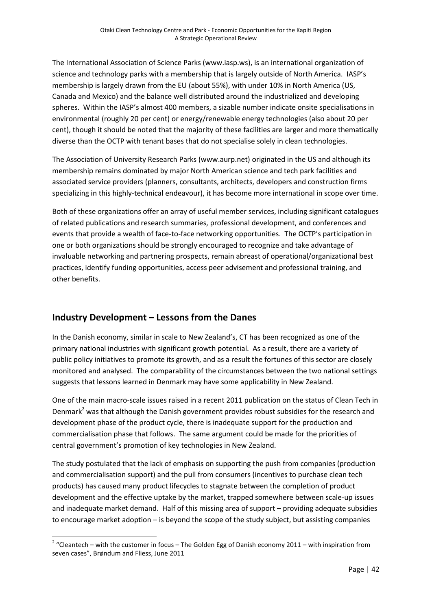The International Association of Science Parks (www.iasp.ws), is an international organization of science and technology parks with a membership that is largely outside of North America. IASP's membership is largely drawn from the EU (about 55%), with under 10% in North America (US, Canada and Mexico) and the balance well distributed around the industrialized and developing spheres. Within the IASP's almost 400 members, a sizable number indicate onsite specialisations in environmental (roughly 20 per cent) or energy/renewable energy technologies (also about 20 per cent), though it should be noted that the majority of these facilities are larger and more thematically diverse than the OCTP with tenant bases that do not specialise solely in clean technologies.

The Association of University Research Parks (www.aurp.net) originated in the US and although its membership remains dominated by major North American science and tech park facilities and associated service providers (planners, consultants, architects, developers and construction firms specializing in this highly-technical endeavour), it has become more international in scope over time.

Both of these organizations offer an array of useful member services, including significant catalogues of related publications and research summaries, professional development, and conferences and events that provide a wealth of face-to-face networking opportunities. The OCTP's participation in one or both organizations should be strongly encouraged to recognize and take advantage of invaluable networking and partnering prospects, remain abreast of operational/organizational best practices, identify funding opportunities, access peer advisement and professional training, and other benefits.

## **Industry Development – Lessons from the Danes**

In the Danish economy, similar in scale to New Zealand's, CT has been recognized as one of the primary national industries with significant growth potential. As a result, there are a variety of public policy initiatives to promote its growth, and as a result the fortunes of this sector are closely monitored and analysed. The comparability of the circumstances between the two national settings suggests that lessons learned in Denmark may have some applicability in New Zealand.

One of the main macro-scale issues raised in a recent 2011 publication on the status of Clean Tech in Denmark<sup>2</sup> was that although the Danish government provides robust subsidies for the research and development phase of the product cycle, there is inadequate support for the production and commercialisation phase that follows. The same argument could be made for the priorities of central government's promotion of key technologies in New Zealand.

The study postulated that the lack of emphasis on supporting the push from companies (production and commercialisation support) and the pull from consumers (incentives to purchase clean tech products) has caused many product lifecycles to stagnate between the completion of product development and the effective uptake by the market, trapped somewhere between scale-up issues and inadequate market demand. Half of this missing area of support – providing adequate subsidies to encourage market adoption – is beyond the scope of the study subject, but assisting companies

**<sup>.</sup>** <sup>2</sup> "Cleantech – with the customer in focus – The Golden Egg of Danish economy 2011 – with inspiration from seven cases", Brøndum and Fliess, June 2011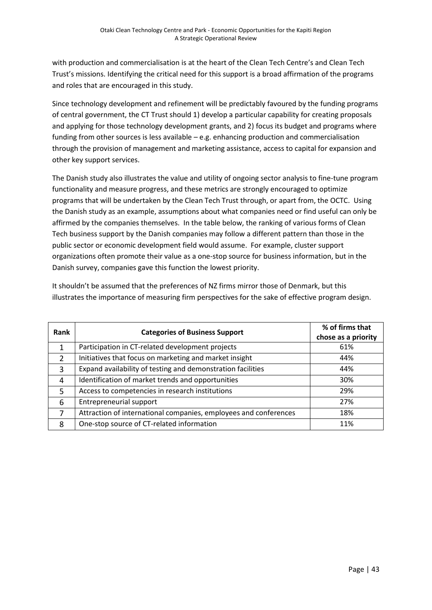with production and commercialisation is at the heart of the Clean Tech Centre's and Clean Tech Trust's missions. Identifying the critical need for this support is a broad affirmation of the programs and roles that are encouraged in this study.

Since technology development and refinement will be predictably favoured by the funding programs of central government, the CT Trust should 1) develop a particular capability for creating proposals and applying for those technology development grants, and 2) focus its budget and programs where funding from other sources is less available – e.g. enhancing production and commercialisation through the provision of management and marketing assistance, access to capital for expansion and other key support services.

The Danish study also illustrates the value and utility of ongoing sector analysis to fine-tune program functionality and measure progress, and these metrics are strongly encouraged to optimize programs that will be undertaken by the Clean Tech Trust through, or apart from, the OCTC. Using the Danish study as an example, assumptions about what companies need or find useful can only be affirmed by the companies themselves. In the table below, the ranking of various forms of Clean Tech business support by the Danish companies may follow a different pattern than those in the public sector or economic development field would assume. For example, cluster support organizations often promote their value as a one-stop source for business information, but in the Danish survey, companies gave this function the lowest priority.

It shouldn't be assumed that the preferences of NZ firms mirror those of Denmark, but this illustrates the importance of measuring firm perspectives for the sake of effective program design.

| Rank           | <b>Categories of Business Support</b>                            | % of firms that     |
|----------------|------------------------------------------------------------------|---------------------|
|                |                                                                  | chose as a priority |
|                | Participation in CT-related development projects                 | 61%                 |
| $\mathcal{P}$  | Initiatives that focus on marketing and market insight           | 44%                 |
| 3              | Expand availability of testing and demonstration facilities      | 44%                 |
| $\overline{4}$ | Identification of market trends and opportunities                | 30%                 |
| 5              | Access to competencies in research institutions                  | 29%                 |
| 6              | <b>Entrepreneurial support</b>                                   | 27%                 |
| 7              | Attraction of international companies, employees and conferences | 18%                 |
| 8              | One-stop source of CT-related information                        | 11%                 |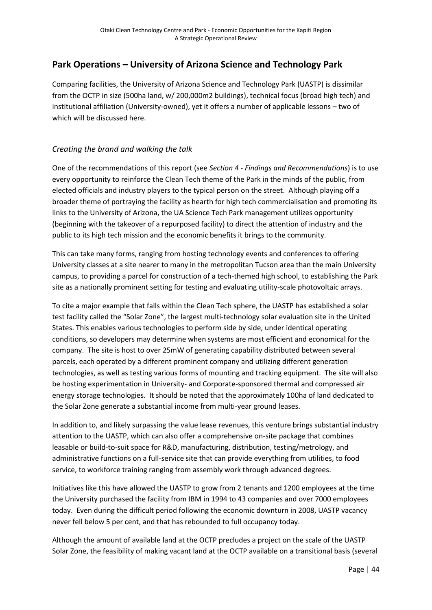### **Park Operations – University of Arizona Science and Technology Park**

Comparing facilities, the University of Arizona Science and Technology Park (UASTP) is dissimilar from the OCTP in size (500ha land, w/ 200,000m2 buildings), technical focus (broad high tech) and institutional affiliation (University-owned), yet it offers a number of applicable lessons – two of which will be discussed here.

#### *Creating the brand and walking the talk*

One of the recommendations of this report (see *Section 4 - Findings and Recommendations*) is to use every opportunity to reinforce the Clean Tech theme of the Park in the minds of the public, from elected officials and industry players to the typical person on the street. Although playing off a broader theme of portraying the facility as hearth for high tech commercialisation and promoting its links to the University of Arizona, the UA Science Tech Park management utilizes opportunity (beginning with the takeover of a repurposed facility) to direct the attention of industry and the public to its high tech mission and the economic benefits it brings to the community.

This can take many forms, ranging from hosting technology events and conferences to offering University classes at a site nearer to many in the metropolitan Tucson area than the main University campus, to providing a parcel for construction of a tech-themed high school, to establishing the Park site as a nationally prominent setting for testing and evaluating utility-scale photovoltaic arrays.

To cite a major example that falls within the Clean Tech sphere, the UASTP has established a solar test facility called the "Solar Zone", the largest multi-technology solar evaluation site in the United States. This enables various technologies to perform side by side, under identical operating conditions, so developers may determine when systems are most efficient and economical for the company. The site is host to over 25mW of generating capability distributed between several parcels, each operated by a different prominent company and utilizing different generation technologies, as well as testing various forms of mounting and tracking equipment. The site will also be hosting experimentation in University- and Corporate-sponsored thermal and compressed air energy storage technologies. It should be noted that the approximately 100ha of land dedicated to the Solar Zone generate a substantial income from multi-year ground leases.

In addition to, and likely surpassing the value lease revenues, this venture brings substantial industry attention to the UASTP, which can also offer a comprehensive on-site package that combines leasable or build-to-suit space for R&D, manufacturing, distribution, testing/metrology, and administrative functions on a full-service site that can provide everything from utilities, to food service, to workforce training ranging from assembly work through advanced degrees.

Initiatives like this have allowed the UASTP to grow from 2 tenants and 1200 employees at the time the University purchased the facility from IBM in 1994 to 43 companies and over 7000 employees today. Even during the difficult period following the economic downturn in 2008, UASTP vacancy never fell below 5 per cent, and that has rebounded to full occupancy today.

Although the amount of available land at the OCTP precludes a project on the scale of the UASTP Solar Zone, the feasibility of making vacant land at the OCTP available on a transitional basis (several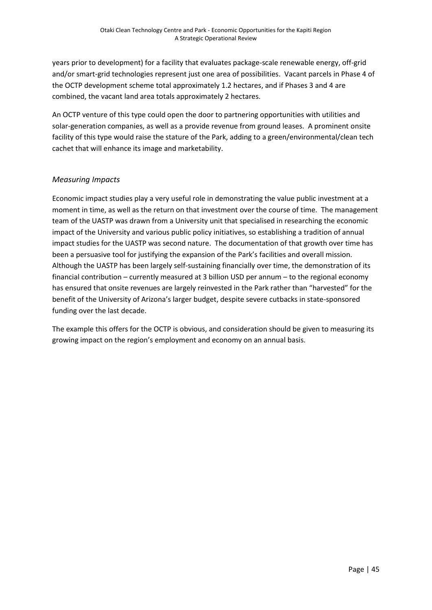years prior to development) for a facility that evaluates package-scale renewable energy, off-grid and/or smart-grid technologies represent just one area of possibilities. Vacant parcels in Phase 4 of the OCTP development scheme total approximately 1.2 hectares, and if Phases 3 and 4 are combined, the vacant land area totals approximately 2 hectares.

An OCTP venture of this type could open the door to partnering opportunities with utilities and solar-generation companies, as well as a provide revenue from ground leases. A prominent onsite facility of this type would raise the stature of the Park, adding to a green/environmental/clean tech cachet that will enhance its image and marketability.

#### *Measuring Impacts*

Economic impact studies play a very useful role in demonstrating the value public investment at a moment in time, as well as the return on that investment over the course of time. The management team of the UASTP was drawn from a University unit that specialised in researching the economic impact of the University and various public policy initiatives, so establishing a tradition of annual impact studies for the UASTP was second nature. The documentation of that growth over time has been a persuasive tool for justifying the expansion of the Park's facilities and overall mission. Although the UASTP has been largely self-sustaining financially over time, the demonstration of its financial contribution – currently measured at 3 billion USD per annum – to the regional economy has ensured that onsite revenues are largely reinvested in the Park rather than "harvested" for the benefit of the University of Arizona's larger budget, despite severe cutbacks in state-sponsored funding over the last decade.

The example this offers for the OCTP is obvious, and consideration should be given to measuring its growing impact on the region's employment and economy on an annual basis.